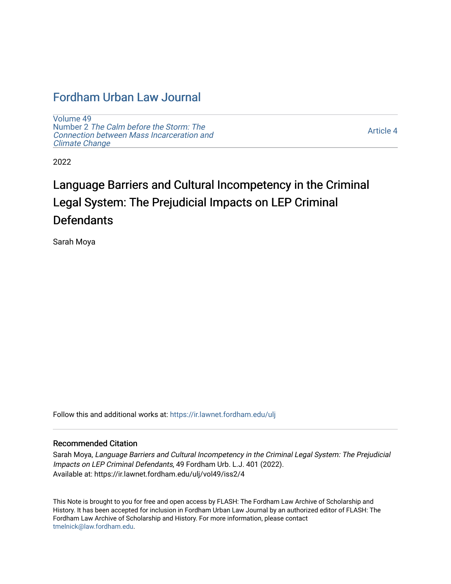## [Fordham Urban Law Journal](https://ir.lawnet.fordham.edu/ulj)

[Volume 49](https://ir.lawnet.fordham.edu/ulj/vol49) Number 2 [The Calm before the Storm: The](https://ir.lawnet.fordham.edu/ulj/vol49/iss2) [Connection between Mass Incarceration and](https://ir.lawnet.fordham.edu/ulj/vol49/iss2)  [Climate Change](https://ir.lawnet.fordham.edu/ulj/vol49/iss2) 

[Article 4](https://ir.lawnet.fordham.edu/ulj/vol49/iss2/4) 

2022

# Language Barriers and Cultural Incompetency in the Criminal Legal System: The Prejudicial Impacts on LEP Criminal **Defendants**

Sarah Moya

Follow this and additional works at: [https://ir.lawnet.fordham.edu/ulj](https://ir.lawnet.fordham.edu/ulj?utm_source=ir.lawnet.fordham.edu%2Fulj%2Fvol49%2Fiss2%2F4&utm_medium=PDF&utm_campaign=PDFCoverPages) 

#### Recommended Citation

Sarah Moya, Language Barriers and Cultural Incompetency in the Criminal Legal System: The Prejudicial Impacts on LEP Criminal Defendants, 49 Fordham Urb. L.J. 401 (2022). Available at: https://ir.lawnet.fordham.edu/ulj/vol49/iss2/4

This Note is brought to you for free and open access by FLASH: The Fordham Law Archive of Scholarship and History. It has been accepted for inclusion in Fordham Urban Law Journal by an authorized editor of FLASH: The Fordham Law Archive of Scholarship and History. For more information, please contact [tmelnick@law.fordham.edu](mailto:tmelnick@law.fordham.edu).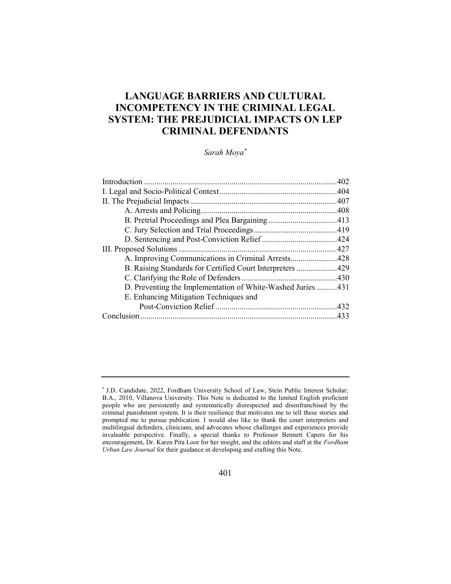### LANGUAGE BARRIERS AND CULTURAL INCOMPETENCY IN THE CRIMINAL LEGAL SYSTEM: THE PREJUDICIAL IMPACTS ON LEP CRIMINAL DEFENDANTS

Sarah Moya\*

| A. Improving Communications in Criminal Arrests428          |  |
|-------------------------------------------------------------|--|
| B. Raising Standards for Certified Court Interpreters 429   |  |
|                                                             |  |
| D. Preventing the Implementation of White-Washed Juries 431 |  |
| E. Enhancing Mitigation Techniques and                      |  |
|                                                             |  |
|                                                             |  |
|                                                             |  |

<sup>\*</sup> J.D. Candidate, 2022, Fordham University School of Law, Stein Public Interest Scholar; B.A., 2010, Villanova University. This Note is dedicated to the limited English proficient people who are persistently and systematically disrespected and disenfranchised by the criminal punishment system. It is their resilience that motivates me to tell these stories and prompted me to pursue publication. I would also like to thank the court interpreters and multilingual defenders, clinicians, and advocates whose challenges and experiences provide invaluable perspective. Finally, a special thanks to Professor Bennett Capers for his encouragement, Dr. Karen Pita Loor for her insight, and the editors and staff at the Fordham Urban Law Journal for their guidance in developing and crafting this Note.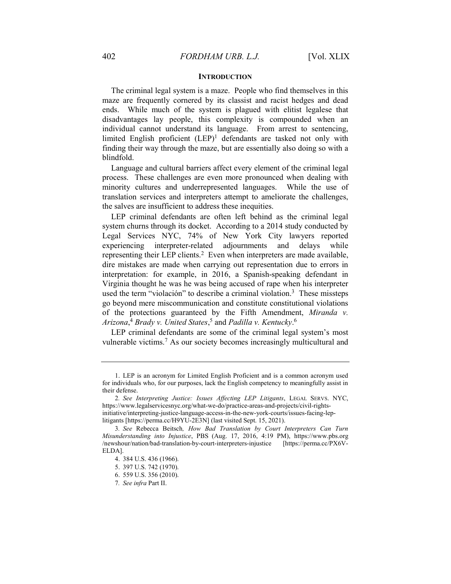#### **INTRODUCTION**

The criminal legal system is a maze. People who find themselves in this maze are frequently cornered by its classist and racist hedges and dead ends. While much of the system is plagued with elitist legalese that disadvantages lay people, this complexity is compounded when an individual cannot understand its language. From arrest to sentencing, limited English proficient (LEP)<sup>1</sup> defendants are tasked not only with finding their way through the maze, but are essentially also doing so with a blindfold.

Language and cultural barriers affect every element of the criminal legal process. These challenges are even more pronounced when dealing with minority cultures and underrepresented languages. While the use of translation services and interpreters attempt to ameliorate the challenges, the salves are insufficient to address these inequities.

LEP criminal defendants are often left behind as the criminal legal system churns through its docket. According to a 2014 study conducted by Legal Services NYC, 74% of New York City lawyers reported experiencing interpreter-related adjournments and delays while representing their LEP clients.<sup>2</sup> Even when interpreters are made available, dire mistakes are made when carrying out representation due to errors in interpretation: for example, in 2016, a Spanish-speaking defendant in Virginia thought he was he was being accused of rape when his interpreter used the term "violación" to describe a criminal violation.<sup>3</sup> These missteps go beyond mere miscommunication and constitute constitutional violations of the protections guaranteed by the Fifth Amendment, Miranda v. Arizona,<sup>4</sup> Brady v. United States,<sup>5</sup> and Padilla v. Kentucky.<sup>6</sup>

LEP criminal defendants are some of the criminal legal system's most vulnerable victims.<sup>7</sup> As our society becomes increasingly multicultural and

 <sup>1.</sup> LEP is an acronym for Limited English Proficient and is a common acronym used for individuals who, for our purposes, lack the English competency to meaningfully assist in their defense.

<sup>2</sup>. See Interpreting Justice: Issues Affecting LEP Litigants, LEGAL SERVS. NYC, https://www.legalservicesnyc.org/what-we-do/practice-areas-and-projects/civil-rightsinitiative/interpreting-justice-language-access-in-the-new-york-courts/issues-facing-leplitigants [https://perma.cc/H9YU-2E3N] (last visited Sept. 15, 2021).

<sup>3</sup>. See Rebecca Beitsch, How Bad Translation by Court Interpreters Can Turn Misunderstanding into Injustice, PBS (Aug. 17, 2016, 4:19 PM), https://www.pbs.org /newshour/nation/bad-translation-by-court-interpreters-injustice [https://perma.cc/PX6V-ELDA].

 <sup>4. 384</sup> U.S. 436 (1966).

 <sup>5. 397</sup> U.S. 742 (1970).

 <sup>6. 559</sup> U.S. 356 (2010).

<sup>7</sup>. See infra Part II.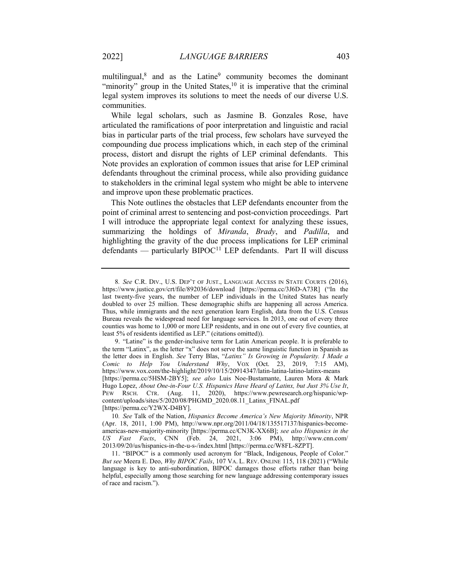multilingual, $8$  and as the Latine $9$  community becomes the dominant "minority" group in the United States, $10$  it is imperative that the criminal legal system improves its solutions to meet the needs of our diverse U.S. communities.

While legal scholars, such as Jasmine B. Gonzales Rose, have articulated the ramifications of poor interpretation and linguistic and racial bias in particular parts of the trial process, few scholars have surveyed the compounding due process implications which, in each step of the criminal process, distort and disrupt the rights of LEP criminal defendants. This Note provides an exploration of common issues that arise for LEP criminal defendants throughout the criminal process, while also providing guidance to stakeholders in the criminal legal system who might be able to intervene and improve upon these problematic practices.

This Note outlines the obstacles that LEP defendants encounter from the point of criminal arrest to sentencing and post-conviction proceedings. Part I will introduce the appropriate legal context for analyzing these issues, summarizing the holdings of Miranda, Brady, and Padilla, and highlighting the gravity of the due process implications for LEP criminal defendants — particularly BIPOC<sup>11</sup> LEP defendants. Part II will discuss

<sup>8</sup>. See C.R. DIV., U.S. DEP'T OF JUST., LANGUAGE ACCESS IN STATE COURTS (2016), https://www.justice.gov/crt/file/892036/download [https://perma.cc/3J6D-A73R] ("In the last twenty-five years, the number of LEP individuals in the United States has nearly doubled to over 25 million. These demographic shifts are happening all across America. Thus, while immigrants and the next generation learn English, data from the U.S. Census Bureau reveals the widespread need for language services. In 2013, one out of every three counties was home to 1,000 or more LEP residents, and in one out of every five counties, at least 5% of residents identified as LEP." (citations omitted)).

 <sup>9. &</sup>quot;Latine" is the gender-inclusive term for Latin American people. It is preferable to the term "Latinx", as the letter "x" does not serve the same linguistic function in Spanish as the letter does in English. See Terry Blas, "Latinx" Is Growing in Popularity. I Made a Comic to Help You Understand Why, VOX (Oct. 23, 2019, 7:15 AM), https://www.vox.com/the-highlight/2019/10/15/20914347/latin-latina-latino-latinx-means [https://perma.cc/5HSM-2BY5]; see also Luis Noe-Bustamante, Lauren Mora & Mark Hugo Lopez, About One-in-Four U.S. Hispanics Have Heard of Latinx, but Just 3% Use It, PEW RSCH. CTR. (Aug. 11, 2020), https://www.pewresearch.org/hispanic/wpcontent/uploads/sites/5/2020/08/PHGMD\_2020.08.11\_Latinx\_FINAL.pdf [https://perma.cc/Y2WX-D4BY].

<sup>10</sup>. See Talk of the Nation, Hispanics Become America's New Majority Minority, NPR (Apr. 18, 2011, 1:00 PM), http://www.npr.org/2011/04/18/135517137/hispanics-becomeamericas-new-majority-minority [https://perma.cc/CN3K-XX6B]; see also Hispanics in the US Fast Facts, CNN (Feb. 24, 2021, 3:06 PM), http://www.cnn.com/ 2013/09/20/us/hispanics-in-the-u-s-/index.html [https://perma.cc/W8FL-8ZPT].

 <sup>11. &</sup>quot;BIPOC" is a commonly used acronym for "Black, Indigenous, People of Color." But see Meera E. Deo, Why BIPOC Fails, 107 VA. L. REV. ONLINE 115, 118 (2021) ("While language is key to anti-subordination, BIPOC damages those efforts rather than being helpful, especially among those searching for new language addressing contemporary issues of race and racism.").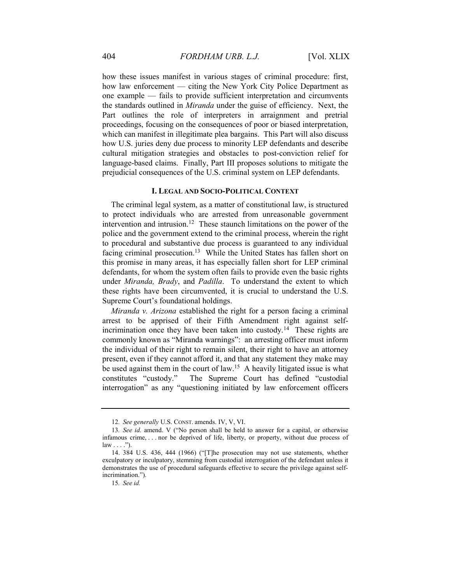how these issues manifest in various stages of criminal procedure: first, how law enforcement — citing the New York City Police Department as one example — fails to provide sufficient interpretation and circumvents the standards outlined in Miranda under the guise of efficiency. Next, the Part outlines the role of interpreters in arraignment and pretrial proceedings, focusing on the consequences of poor or biased interpretation, which can manifest in illegitimate plea bargains. This Part will also discuss how U.S. juries deny due process to minority LEP defendants and describe cultural mitigation strategies and obstacles to post-conviction relief for language-based claims. Finally, Part III proposes solutions to mitigate the prejudicial consequences of the U.S. criminal system on LEP defendants.

#### I. LEGAL AND SOCIO-POLITICAL CONTEXT

The criminal legal system, as a matter of constitutional law, is structured to protect individuals who are arrested from unreasonable government intervention and intrusion.<sup>12</sup> These staunch limitations on the power of the police and the government extend to the criminal process, wherein the right to procedural and substantive due process is guaranteed to any individual facing criminal prosecution.<sup>13</sup> While the United States has fallen short on this promise in many areas, it has especially fallen short for LEP criminal defendants, for whom the system often fails to provide even the basic rights under Miranda, Brady, and Padilla. To understand the extent to which these rights have been circumvented, it is crucial to understand the U.S. Supreme Court's foundational holdings.

Miranda v. Arizona established the right for a person facing a criminal arrest to be apprised of their Fifth Amendment right against selfincrimination once they have been taken into custody.<sup>14</sup> These rights are commonly known as "Miranda warnings": an arresting officer must inform the individual of their right to remain silent, their right to have an attorney present, even if they cannot afford it, and that any statement they make may be used against them in the court of law.<sup>15</sup> A heavily litigated issue is what constitutes "custody." The Supreme Court has defined "custodial interrogation" as any "questioning initiated by law enforcement officers

<sup>12</sup>. See generally U.S. CONST. amends. IV, V, VI.

<sup>13</sup>. See id. amend. V ("No person shall be held to answer for a capital, or otherwise infamous crime, . . . nor be deprived of life, liberty, or property, without due process of  $law \dots$ ").

 <sup>14. 384</sup> U.S. 436, 444 (1966) ("[T]he prosecution may not use statements, whether exculpatory or inculpatory, stemming from custodial interrogation of the defendant unless it demonstrates the use of procedural safeguards effective to secure the privilege against selfincrimination.").

<sup>15</sup>. See id.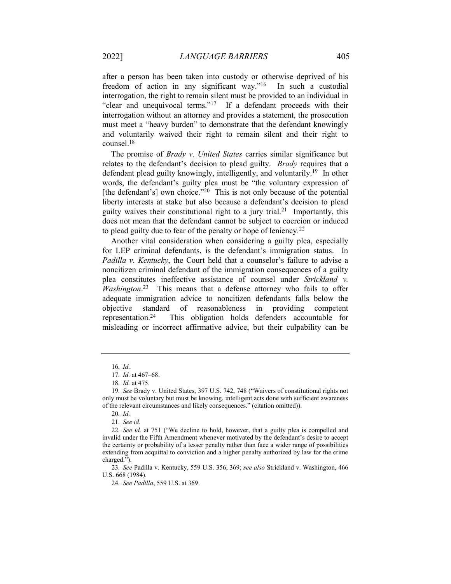after a person has been taken into custody or otherwise deprived of his freedom of action in any significant way."<sup>16</sup> In such a custodial interrogation, the right to remain silent must be provided to an individual in "clear and unequivocal terms."<sup>17</sup> If a defendant proceeds with their interrogation without an attorney and provides a statement, the prosecution must meet a "heavy burden" to demonstrate that the defendant knowingly and voluntarily waived their right to remain silent and their right to counsel.<sup>18</sup>

The promise of *Brady v. United States* carries similar significance but relates to the defendant's decision to plead guilty. *Brady* requires that a defendant plead guilty knowingly, intelligently, and voluntarily.<sup>19</sup> In other words, the defendant's guilty plea must be "the voluntary expression of [the defendant's] own choice."<sup>20</sup> This is not only because of the potential liberty interests at stake but also because a defendant's decision to plead guilty waives their constitutional right to a jury trial.<sup>21</sup> Importantly, this does not mean that the defendant cannot be subject to coercion or induced to plead guilty due to fear of the penalty or hope of leniency.<sup>22</sup>

Another vital consideration when considering a guilty plea, especially for LEP criminal defendants, is the defendant's immigration status. In Padilla v. Kentucky, the Court held that a counselor's failure to advise a noncitizen criminal defendant of the immigration consequences of a guilty plea constitutes ineffective assistance of counsel under Strickland v. Washington.<sup>23</sup> This means that a defense attorney who fails to offer adequate immigration advice to noncitizen defendants falls below the objective standard of reasonableness in providing competent representation.<sup>24</sup> This obligation holds defenders accountable for misleading or incorrect affirmative advice, but their culpability can be

 $16$  *Id.* 

<sup>17</sup>. Id. at 467–68.

<sup>18</sup>. Id. at 475.

<sup>19</sup>. See Brady v. United States, 397 U.S. 742, 748 ("Waivers of constitutional rights not only must be voluntary but must be knowing, intelligent acts done with sufficient awareness of the relevant circumstances and likely consequences." (citation omitted)).

<sup>20</sup>. Id.

<sup>21</sup>. See id.

<sup>22</sup>. See id. at 751 ("We decline to hold, however, that a guilty plea is compelled and invalid under the Fifth Amendment whenever motivated by the defendant's desire to accept the certainty or probability of a lesser penalty rather than face a wider range of possibilities extending from acquittal to conviction and a higher penalty authorized by law for the crime charged.").

<sup>23</sup>. See Padilla v. Kentucky, 559 U.S. 356, 369; see also Strickland v. Washington, 466 U.S. 668 (1984).

<sup>24</sup>. See Padilla, 559 U.S. at 369.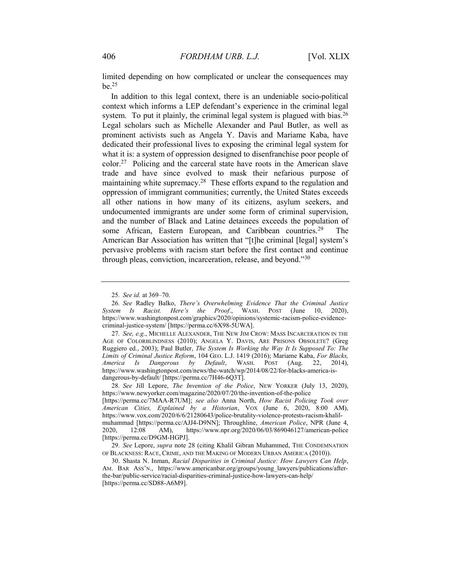limited depending on how complicated or unclear the consequences may  $be.$ <sup>25</sup>

In addition to this legal context, there is an undeniable socio-political context which informs a LEP defendant's experience in the criminal legal system. To put it plainly, the criminal legal system is plagued with bias.<sup>26</sup> Legal scholars such as Michelle Alexander and Paul Butler, as well as prominent activists such as Angela Y. Davis and Mariame Kaba, have dedicated their professional lives to exposing the criminal legal system for what it is: a system of oppression designed to disenfranchise poor people of color.<sup>27</sup> Policing and the carceral state have roots in the American slave trade and have since evolved to mask their nefarious purpose of maintaining white supremacy.<sup>28</sup> These efforts expand to the regulation and oppression of immigrant communities; currently, the United States exceeds all other nations in how many of its citizens, asylum seekers, and undocumented immigrants are under some form of criminal supervision, and the number of Black and Latine detainees exceeds the population of some African, Eastern European, and Caribbean countries.<sup>29</sup> The American Bar Association has written that "[t]he criminal [legal] system's pervasive problems with racism start before the first contact and continue through pleas, conviction, incarceration, release, and beyond."<sup>30</sup>

28. See Jill Lepore, The Invention of the Police, NEW YORKER (July 13, 2020), https://www.newyorker.com/magazine/2020/07/20/the-invention-of-the-police

<sup>25</sup>. See id. at 369–70.

<sup>26</sup>. See Radley Balko, There's Overwhelming Evidence That the Criminal Justice System Is Racist. Here's the Proof., WASH. POST (June 10, 2020), https://www.washingtonpost.com/graphics/2020/opinions/systemic-racism-police-evidencecriminal-justice-system/ [https://perma.cc/6X98-5UWA].

<sup>27.</sup> See, e.g., MICHELLE ALEXANDER, THE NEW JIM CROW: MASS INCARCERATION IN THE AGE OF COLORBLINDNESS (2010); ANGELA Y. DAVIS, ARE PRISONS OBSOLETE? (Greg Ruggiero ed., 2003); Paul Butler, The System Is Working the Way It Is Supposed To: The Limits of Criminal Justice Reform, 104 GEO. L.J. 1419 (2016); Mariame Kaba, For Blacks, America Is Dangerous by Default, WASH. POST (Aug. 22, 2014), https://www.washingtonpost.com/news/the-watch/wp/2014/08/22/for-blacks-america-isdangerous-by-default/ [https://perma.cc/7H46-6Q3T].

<sup>[</sup>https://perma.cc/7MAA-R7UM]; see also Anna North, How Racist Policing Took over American Cities, Explained by a Historian, VOX (June 6, 2020, 8:00 AM), https://www.vox.com/2020/6/6/21280643/police-brutality-violence-protests-racism-khalilmuhammad [https://perma.cc/AJJ4-D9NN]; Throughline, American Police, NPR (June 4, 2020, 12:08 AM), https://www.npr.org/2020/06/03/869046127/american-police [https://perma.cc/D9GM-HGPJ].

<sup>29.</sup> See Lepore, supra note 28 (citing Khalil Gibran Muhammed, THE CONDEMNATION OF BLACKNESS: RACE, CRIME, AND THE MAKING OF MODERN URBAN AMERICA (2010)).

 <sup>30.</sup> Shasta N. Inman, Racial Disparities in Criminal Justice: How Lawyers Can Help, AM. BAR ASS'N., https://www.americanbar.org/groups/young\_lawyers/publications/afterthe-bar/public-service/racial-disparities-criminal-justice-how-lawyers-can-help/ [https://perma.cc/SD88-A6M9].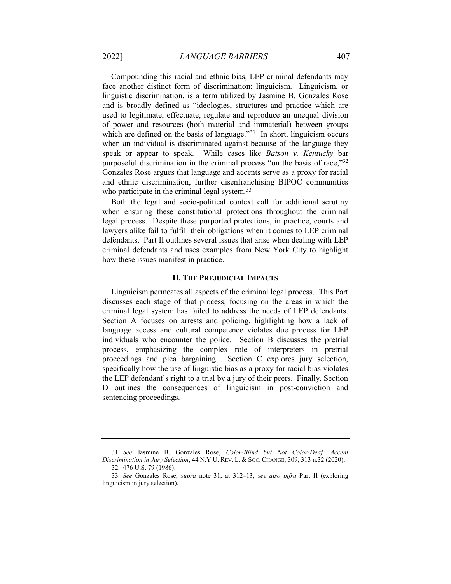Compounding this racial and ethnic bias, LEP criminal defendants may face another distinct form of discrimination: linguicism. Linguicism, or linguistic discrimination, is a term utilized by Jasmine B. Gonzales Rose and is broadly defined as "ideologies, structures and practice which are used to legitimate, effectuate, regulate and reproduce an unequal division of power and resources (both material and immaterial) between groups which are defined on the basis of language."<sup>31</sup> In short, linguicism occurs when an individual is discriminated against because of the language they speak or appear to speak. While cases like Batson v. Kentucky bar purposeful discrimination in the criminal process "on the basis of race,"<sup>32</sup> Gonzales Rose argues that language and accents serve as a proxy for racial and ethnic discrimination, further disenfranchising BIPOC communities who participate in the criminal legal system.<sup>33</sup>

Both the legal and socio-political context call for additional scrutiny when ensuring these constitutional protections throughout the criminal legal process. Despite these purported protections, in practice, courts and lawyers alike fail to fulfill their obligations when it comes to LEP criminal defendants. Part II outlines several issues that arise when dealing with LEP criminal defendants and uses examples from New York City to highlight how these issues manifest in practice.

#### II. THE PREJUDICIAL IMPACTS

Linguicism permeates all aspects of the criminal legal process. This Part discusses each stage of that process, focusing on the areas in which the criminal legal system has failed to address the needs of LEP defendants. Section A focuses on arrests and policing, highlighting how a lack of language access and cultural competence violates due process for LEP individuals who encounter the police. Section B discusses the pretrial process, emphasizing the complex role of interpreters in pretrial proceedings and plea bargaining. Section C explores jury selection, specifically how the use of linguistic bias as a proxy for racial bias violates the LEP defendant's right to a trial by a jury of their peers. Finally, Section D outlines the consequences of linguicism in post-conviction and sentencing proceedings.

<sup>31</sup>. See Jasmine B. Gonzales Rose, Color-Blind but Not Color-Deaf: Accent Discrimination in Jury Selection, 44 N.Y.U. REV. L. & SOC. CHANGE, 309, 313 n.32 (2020).

<sup>32</sup>. 476 U.S. 79 (1986).

<sup>33</sup>. See Gonzales Rose, supra note 31, at 312–13; see also infra Part II (exploring linguicism in jury selection).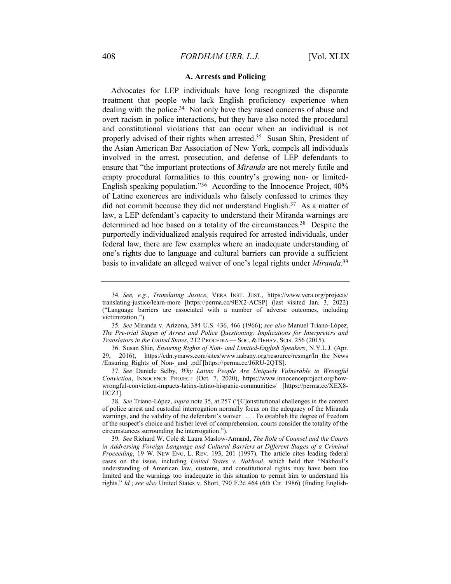#### A. Arrests and Policing

Advocates for LEP individuals have long recognized the disparate treatment that people who lack English proficiency experience when dealing with the police.<sup>34</sup> Not only have they raised concerns of abuse and overt racism in police interactions, but they have also noted the procedural and constitutional violations that can occur when an individual is not properly advised of their rights when arrested.<sup>35</sup> Susan Shin, President of the Asian American Bar Association of New York, compels all individuals involved in the arrest, prosecution, and defense of LEP defendants to ensure that "the important protections of *Miranda* are not merely futile and empty procedural formalities to this country's growing non- or limited-English speaking population."<sup>36</sup> According to the Innocence Project, 40% of Latine exonerees are individuals who falsely confessed to crimes they did not commit because they did not understand English.<sup>37</sup> As a matter of law, a LEP defendant's capacity to understand their Miranda warnings are determined ad hoc based on a totality of the circumstances.<sup>38</sup> Despite the purportedly individualized analysis required for arrested individuals, under federal law, there are few examples where an inadequate understanding of one's rights due to language and cultural barriers can provide a sufficient basis to invalidate an alleged waiver of one's legal rights under Miranda.<sup>39</sup>

<sup>34</sup>. See, e.g., Translating Justice, VERA INST. JUST., https://www.vera.org/projects/ translating-justice/learn-more [https://perma.cc/9EX2-ACSP] (last visited Jan. 3, 2022) ("Language barriers are associated with a number of adverse outcomes, including victimization.").

<sup>35</sup>. See Miranda v. Arizona, 384 U.S. 436, 466 (1966); see also Manuel Triano-López, The Pre-trial Stages of Arrest and Police Questioning: Implications for Interpreters and Translators in the United States, 212 PROCEDIA — SOC. & BEHAV. SCIS. 256 (2015).

 <sup>36.</sup> Susan Shin, Ensuring Rights of Non- and Limited-English Speakers, N.Y.L.J. (Apr. 29, 2016), https://cdn.ymaws.com/sites/www.aabany.org/resource/resmgr/In\_the\_News /Ensuring\_Rights\_of\_Non-\_and\_.pdf [https://perma.cc/J6RU-2QTS].

<sup>37</sup>. See Daniele Selby, Why Latinx People Are Uniquely Vulnerable to Wrongful Conviction, INNOCENCE PROJECT (Oct. 7, 2020), https://www.innocenceproject.org/howwrongful-conviction-impacts-latinx-latino-hispanic-communities/ [https://perma.cc/XEX8-  $HCZ3$ ].

<sup>38</sup>. See Triano-López, supra note 35, at 257 ("[C]onstitutional challenges in the context of police arrest and custodial interrogation normally focus on the adequacy of the Miranda warnings, and the validity of the defendant's waiver . . . . To establish the degree of freedom of the suspect's choice and his/her level of comprehension, courts consider the totality of the circumstances surrounding the interrogation.").

<sup>39</sup>. See Richard W. Cole & Laura Maslow-Armand, The Role of Counsel and the Courts in Addressing Foreign Language and Cultural Barriers at Different Stages of a Criminal Proceeding, 19 W. NEW ENG. L. REV. 193, 201 (1997). The article cites leading federal cases on the issue, including United States v. Nakhoul, which held that "Nakhoul's understanding of American law, customs, and constitutional rights may have been too limited and the warnings too inadequate in this situation to permit him to understand his rights." Id.; see also United States v. Short, 790 F.2d 464 (6th Cir. 1986) (finding English-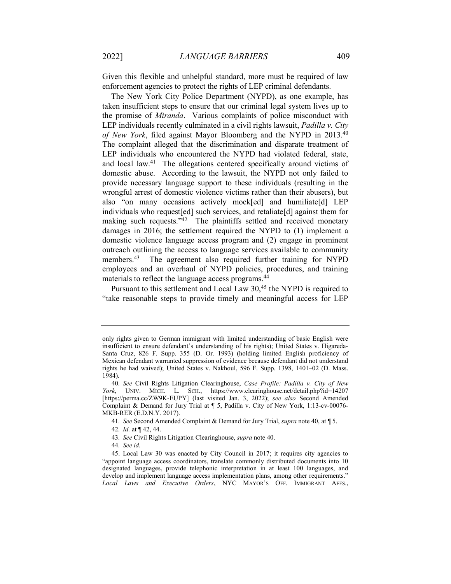Given this flexible and unhelpful standard, more must be required of law enforcement agencies to protect the rights of LEP criminal defendants.

The New York City Police Department (NYPD), as one example, has taken insufficient steps to ensure that our criminal legal system lives up to the promise of Miranda. Various complaints of police misconduct with LEP individuals recently culminated in a civil rights lawsuit, *Padilla v. City* of New York, filed against Mayor Bloomberg and the NYPD in 2013.<sup>40</sup> The complaint alleged that the discrimination and disparate treatment of LEP individuals who encountered the NYPD had violated federal, state, and local law.<sup>41</sup> The allegations centered specifically around victims of domestic abuse. According to the lawsuit, the NYPD not only failed to provide necessary language support to these individuals (resulting in the wrongful arrest of domestic violence victims rather than their abusers), but also "on many occasions actively mock[ed] and humiliate[d] LEP individuals who request[ed] such services, and retaliate[d] against them for making such requests."<sup>42</sup> The plaintiffs settled and received monetary damages in 2016; the settlement required the NYPD to (1) implement a domestic violence language access program and (2) engage in prominent outreach outlining the access to language services available to community members.<sup>43</sup> The agreement also required further training for NYPD employees and an overhaul of NYPD policies, procedures, and training materials to reflect the language access programs.<sup>44</sup>

Pursuant to this settlement and Local Law 30,<sup>45</sup> the NYPD is required to "take reasonable steps to provide timely and meaningful access for LEP

42. Id. at ¶ 42, 44.

43. See Civil Rights Litigation Clearinghouse, supra note 40.

44. See id.

only rights given to German immigrant with limited understanding of basic English were insufficient to ensure defendant's understanding of his rights); United States v. Higareda-Santa Cruz, 826 F. Supp. 355 (D. Or. 1993) (holding limited English proficiency of Mexican defendant warranted suppression of evidence because defendant did not understand rights he had waived); United States v. Nakhoul, 596 F. Supp. 1398, 1401–02 (D. Mass. 1984).

<sup>40</sup>. See Civil Rights Litigation Clearinghouse, Case Profile: Padilla v. City of New York, UNIV. MICH. L. SCH., https://www.clearinghouse.net/detail.php?id=14207 [https://perma.cc/ZW9K-EUPY] (last visited Jan. 3, 2022); see also Second Amended Complaint & Demand for Jury Trial at ¶ 5, Padilla v. City of New York, 1:13-cv-00076- MKB-RER (E.D.N.Y. 2017).

<sup>41.</sup> See Second Amended Complaint & Demand for Jury Trial, supra note 40, at  $\P$  5.

 <sup>45.</sup> Local Law 30 was enacted by City Council in 2017; it requires city agencies to "appoint language access coordinators, translate commonly distributed documents into 10 designated languages, provide telephonic interpretation in at least 100 languages, and develop and implement language access implementation plans, among other requirements." Local Laws and Executive Orders, NYC MAYOR'S OFF. IMMIGRANT AFFS.,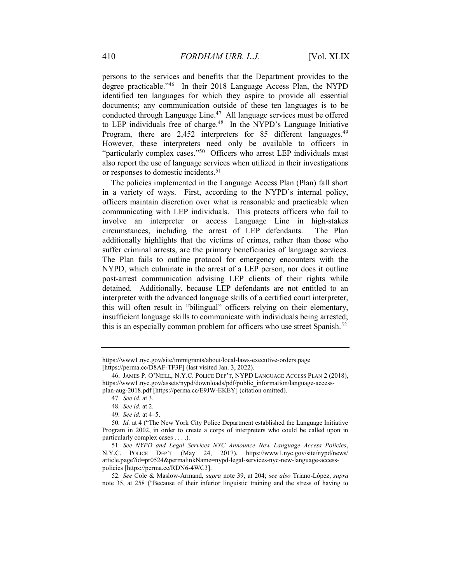persons to the services and benefits that the Department provides to the degree practicable."<sup>46</sup> In their 2018 Language Access Plan, the NYPD identified ten languages for which they aspire to provide all essential documents; any communication outside of these ten languages is to be conducted through Language Line.<sup>47</sup> All language services must be offered to LEP individuals free of charge.<sup>48</sup> In the NYPD's Language Initiative Program, there are 2,452 interpreters for 85 different languages.<sup>49</sup> However, these interpreters need only be available to officers in "particularly complex cases."<sup>50</sup> Officers who arrest LEP individuals must also report the use of language services when utilized in their investigations or responses to domestic incidents.<sup>51</sup>

The policies implemented in the Language Access Plan (Plan) fall short in a variety of ways. First, according to the NYPD's internal policy, officers maintain discretion over what is reasonable and practicable when communicating with LEP individuals. This protects officers who fail to involve an interpreter or access Language Line in high-stakes circumstances, including the arrest of LEP defendants. The Plan additionally highlights that the victims of crimes, rather than those who suffer criminal arrests, are the primary beneficiaries of language services. The Plan fails to outline protocol for emergency encounters with the NYPD, which culminate in the arrest of a LEP person, nor does it outline post-arrest communication advising LEP clients of their rights while detained. Additionally, because LEP defendants are not entitled to an interpreter with the advanced language skills of a certified court interpreter, this will often result in "bilingual" officers relying on their elementary, insufficient language skills to communicate with individuals being arrested; this is an especially common problem for officers who use street Spanish.<sup>52</sup>

https://www1.nyc.gov/site/immigrants/about/local-laws-executive-orders.page [https://perma.cc/D8AF-TF3F] (last visited Jan. 3, 2022).

 <sup>46.</sup> JAMES P. O'NEILL, N.Y.C. POLICE DEP'T, NYPD LANGUAGE ACCESS PLAN 2 (2018), https://www1.nyc.gov/assets/nypd/downloads/pdf/public\_information/language-accessplan-aug-2018.pdf [https://perma.cc/E9JW-EKEY] (citation omitted).

<sup>47</sup>. See id. at 3.

<sup>48</sup>. See id. at 2.

<sup>49</sup>. See id. at 4–5.

<sup>50</sup>. Id. at 4 ("The New York City Police Department established the Language Initiative Program in 2002, in order to create a corps of interpreters who could be called upon in particularly complex cases . . . .).

<sup>51.</sup> See NYPD and Legal Services NYC Announce New Language Access Policies, N.Y.C. POLICE DEP'T (May 24, 2017), https://www1.nyc.gov/site/nypd/news/ article.page?id=pr0524&permalinkName=nypd-legal-services-nyc-new-language-accesspolicies [https://perma.cc/RDN6-4WC3].

<sup>52</sup>. See Cole & Maslow-Armand, supra note 39, at 204; see also Triano-López, supra note 35, at 258 ("Because of their inferior linguistic training and the stress of having to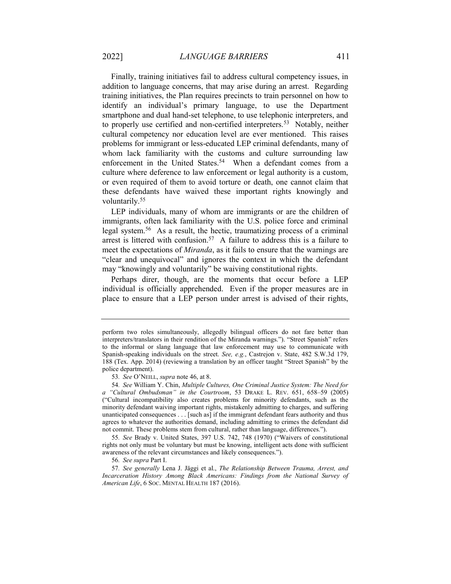Finally, training initiatives fail to address cultural competency issues, in addition to language concerns, that may arise during an arrest. Regarding training initiatives, the Plan requires precincts to train personnel on how to identify an individual's primary language, to use the Department smartphone and dual hand-set telephone, to use telephonic interpreters, and to properly use certified and non-certified interpreters.<sup>53</sup> Notably, neither cultural competency nor education level are ever mentioned. This raises problems for immigrant or less-educated LEP criminal defendants, many of whom lack familiarity with the customs and culture surrounding law enforcement in the United States.<sup>54</sup> When a defendant comes from a culture where deference to law enforcement or legal authority is a custom, or even required of them to avoid torture or death, one cannot claim that these defendants have waived these important rights knowingly and voluntarily.<sup>55</sup>

LEP individuals, many of whom are immigrants or are the children of immigrants, often lack familiarity with the U.S. police force and criminal legal system.<sup>56</sup> As a result, the hectic, traumatizing process of a criminal arrest is littered with confusion.<sup>57</sup> A failure to address this is a failure to meet the expectations of *Miranda*, as it fails to ensure that the warnings are "clear and unequivocal" and ignores the context in which the defendant may "knowingly and voluntarily" be waiving constitutional rights.

Perhaps direr, though, are the moments that occur before a LEP individual is officially apprehended. Even if the proper measures are in place to ensure that a LEP person under arrest is advised of their rights,

perform two roles simultaneously, allegedly bilingual officers do not fare better than interpreters/translators in their rendition of the Miranda warnings."). "Street Spanish" refers to the informal or slang language that law enforcement may use to communicate with Spanish-speaking individuals on the street. See, e.g., Castrejon v. State, 482 S.W.3d 179, 188 (Tex. App. 2014) (reviewing a translation by an officer taught "Street Spanish" by the police department).

<sup>53.</sup> See O'NEILL, supra note 46, at 8.

<sup>54</sup>. See William Y. Chin, Multiple Cultures, One Criminal Justice System: The Need for a "Cultural Ombudsman" in the Courtroom, 53 DRAKE L. REV. 651, 658–59 (2005) ("Cultural incompatibility also creates problems for minority defendants, such as the minority defendant waiving important rights, mistakenly admitting to charges, and suffering unanticipated consequences . . . [such as] if the immigrant defendant fears authority and thus agrees to whatever the authorities demand, including admitting to crimes the defendant did not commit. These problems stem from cultural, rather than language, differences.").

<sup>55</sup>. See Brady v. United States, 397 U.S. 742, 748 (1970) ("Waivers of constitutional rights not only must be voluntary but must be knowing, intelligent acts done with sufficient awareness of the relevant circumstances and likely consequences.").

<sup>56</sup>. See supra Part I.

<sup>57</sup>. See generally Lena J. Jäggi et al., The Relationship Between Trauma, Arrest, and Incarceration History Among Black Americans: Findings from the National Survey of American Life, 6 Soc. MENTAL HEALTH 187 (2016).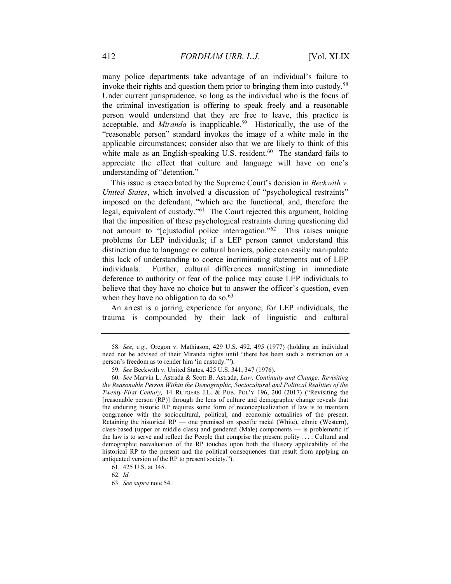many police departments take advantage of an individual's failure to invoke their rights and question them prior to bringing them into custody.<sup>58</sup> Under current jurisprudence, so long as the individual who is the focus of the criminal investigation is offering to speak freely and a reasonable person would understand that they are free to leave, this practice is acceptable, and *Miranda* is inapplicable.<sup>59</sup> Historically, the use of the "reasonable person" standard invokes the image of a white male in the applicable circumstances; consider also that we are likely to think of this white male as an English-speaking U.S. resident. $60$  The standard fails to appreciate the effect that culture and language will have on one's understanding of "detention."

This issue is exacerbated by the Supreme Court's decision in *Beckwith v*. United States, which involved a discussion of "psychological restraints" imposed on the defendant, "which are the functional, and, therefore the legal, equivalent of custody."<sup>61</sup> The Court rejected this argument, holding that the imposition of these psychological restraints during questioning did not amount to "[c]ustodial police interrogation."<sup>62</sup> This raises unique problems for LEP individuals; if a LEP person cannot understand this distinction due to language or cultural barriers, police can easily manipulate this lack of understanding to coerce incriminating statements out of LEP individuals. Further, cultural differences manifesting in immediate deference to authority or fear of the police may cause LEP individuals to believe that they have no choice but to answer the officer's question, even when they have no obligation to do so. $63$ 

An arrest is a jarring experience for anyone; for LEP individuals, the trauma is compounded by their lack of linguistic and cultural

<sup>58</sup>. See, e.g., Oregon v. Mathiason, 429 U.S. 492, 495 (1977) (holding an individual need not be advised of their Miranda rights until "there has been such a restriction on a person's freedom as to render him 'in custody.'").

<sup>59</sup>. See Beckwith v. United States, 425 U.S. 341, 347 (1976).

<sup>60</sup>. See Marvin L. Astrada & Scott B. Astrada, Law, Continuity and Change: Revisiting the Reasonable Person Within the Demographic, Sociocultural and Political Realities of the Twenty-First Century, 14 RUTGERS J.L. & PUB. POL'Y 196, 200 (2017) ("Revisiting the [reasonable person (RP)] through the lens of culture and demographic change reveals that the enduring historic RP requires some form of reconceptualization if law is to maintain congruence with the sociocultural, political, and economic actualities of the present. Retaining the historical RP — one premised on specific racial (White), ethnic (Western), class-based (upper or middle class) and gendered (Male) components — is problematic if the law is to serve and reflect the People that comprise the present polity . . . . Cultural and demographic reevaluation of the RP touches upon both the illusory applicability of the historical RP to the present and the political consequences that result from applying an antiquated version of the RP to present society.").

<sup>61</sup>. 425 U.S. at 345.

<sup>62</sup>. Id.

<sup>63</sup>. See supra note 54.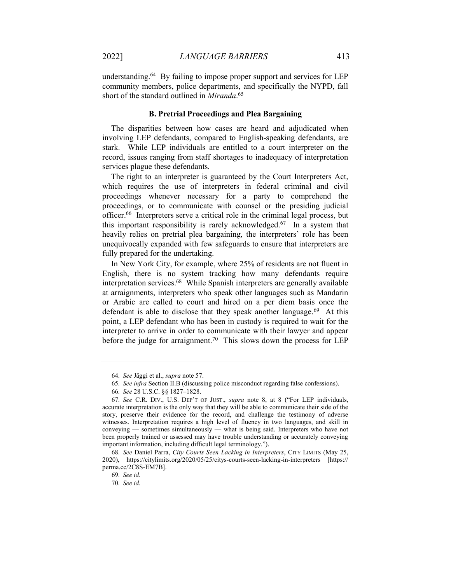understanding.<sup>64</sup> By failing to impose proper support and services for LEP community members, police departments, and specifically the NYPD, fall short of the standard outlined in Miranda.<sup>65</sup>

#### B. Pretrial Proceedings and Plea Bargaining

The disparities between how cases are heard and adjudicated when involving LEP defendants, compared to English-speaking defendants, are stark. While LEP individuals are entitled to a court interpreter on the record, issues ranging from staff shortages to inadequacy of interpretation services plague these defendants.

The right to an interpreter is guaranteed by the Court Interpreters Act, which requires the use of interpreters in federal criminal and civil proceedings whenever necessary for a party to comprehend the proceedings, or to communicate with counsel or the presiding judicial officer.<sup>66</sup> Interpreters serve a critical role in the criminal legal process, but this important responsibility is rarely acknowledged.<sup>67</sup> In a system that heavily relies on pretrial plea bargaining, the interpreters' role has been unequivocally expanded with few safeguards to ensure that interpreters are fully prepared for the undertaking.

In New York City, for example, where 25% of residents are not fluent in English, there is no system tracking how many defendants require interpretation services.<sup>68</sup> While Spanish interpreters are generally available at arraignments, interpreters who speak other languages such as Mandarin or Arabic are called to court and hired on a per diem basis once the defendant is able to disclose that they speak another language. $69$  At this point, a LEP defendant who has been in custody is required to wait for the interpreter to arrive in order to communicate with their lawyer and appear before the judge for arraignment.<sup>70</sup> This slows down the process for LEP

<sup>64</sup>. See Jäggi et al., supra note 57.

<sup>65</sup>. See infra Section II.B (discussing police misconduct regarding false confessions).

<sup>66</sup>. See 28 U.S.C. §§ 1827–1828.

<sup>67</sup>. See C.R. DIV., U.S. DEP'T OF JUST., supra note 8, at 8 ("For LEP individuals, accurate interpretation is the only way that they will be able to communicate their side of the story, preserve their evidence for the record, and challenge the testimony of adverse witnesses. Interpretation requires a high level of fluency in two languages, and skill in conveying — sometimes simultaneously — what is being said. Interpreters who have not been properly trained or assessed may have trouble understanding or accurately conveying important information, including difficult legal terminology.").

<sup>68</sup>. See Daniel Parra, City Courts Seen Lacking in Interpreters, CITY LIMITS (May 25, 2020), https://citylimits.org/2020/05/25/citys-courts-seen-lacking-in-interpreters [https:// perma.cc/2C8S-EM7B].

<sup>69</sup>. See id.

<sup>70</sup>. See id.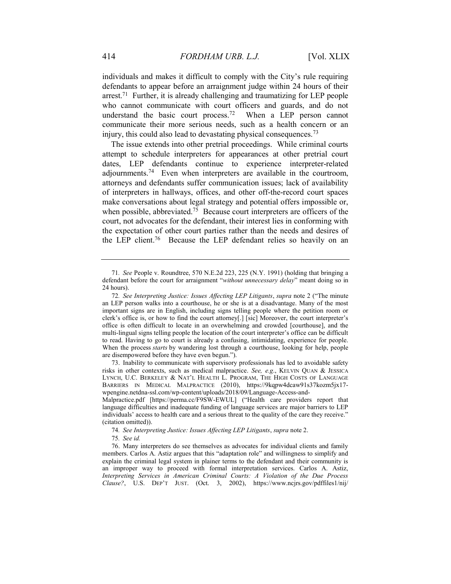individuals and makes it difficult to comply with the City's rule requiring defendants to appear before an arraignment judge within 24 hours of their arrest.<sup>71</sup> Further, it is already challenging and traumatizing for LEP people who cannot communicate with court officers and guards, and do not understand the basic court process.<sup>72</sup> When a LEP person cannot communicate their more serious needs, such as a health concern or an injury, this could also lead to devastating physical consequences.<sup>73</sup>

The issue extends into other pretrial proceedings. While criminal courts attempt to schedule interpreters for appearances at other pretrial court dates, LEP defendants continue to experience interpreter-related adjournments.<sup>74</sup> Even when interpreters are available in the courtroom, attorneys and defendants suffer communication issues; lack of availability of interpreters in hallways, offices, and other off-the-record court spaces make conversations about legal strategy and potential offers impossible or, when possible, abbreviated.<sup>75</sup> Because court interpreters are officers of the court, not advocates for the defendant, their interest lies in conforming with the expectation of other court parties rather than the needs and desires of the LEP client.<sup>76</sup> Because the LEP defendant relies so heavily on an

<sup>71</sup>. See People v. Roundtree, 570 N.E.2d 223, 225 (N.Y. 1991) (holding that bringing a defendant before the court for arraignment "without unnecessary delay" meant doing so in 24 hours).

<sup>72</sup>. See Interpreting Justice: Issues Affecting LEP Litigants, supra note 2 ("The minute an LEP person walks into a courthouse, he or she is at a disadvantage. Many of the most important signs are in English, including signs telling people where the petition room or clerk's office is, or how to find the court attorney[.] [sic] Moreover, the court interpreter's office is often difficult to locate in an overwhelming and crowded [courthouse], and the multi-lingual signs telling people the location of the court interpreter's office can be difficult to read. Having to go to court is already a confusing, intimidating, experience for people. When the process *starts* by wandering lost through a courthouse, looking for help, people are disempowered before they have even begun.").

 <sup>73.</sup> Inability to communicate with supervisory professionals has led to avoidable safety risks in other contexts, such as medical malpractice. See, e.g., KELVIN QUAN & JESSICA LYNCH, U.C. BERKELEY & NAT'L HEALTH L. PROGRAM, THE HIGH COSTS OF LANGUAGE BARRIERS IN MEDICAL MALPRACTICE (2010), https://9kqpw4dcaw91s37kozm5jx17 wpengine.netdna-ssl.com/wp-content/uploads/2018/09/Language-Access-and-

Malpractice.pdf [https://perma.cc/F9SW-EWUL] ("Health care providers report that language difficulties and inadequate funding of language services are major barriers to LEP individuals' access to health care and a serious threat to the quality of the care they receive." (citation omitted)).

<sup>74</sup>. See Interpreting Justice: Issues Affecting LEP Litigants, supra note 2.

<sup>75</sup>. See id.

 <sup>76.</sup> Many interpreters do see themselves as advocates for individual clients and family members. Carlos A. Astiz argues that this "adaptation role" and willingness to simplify and explain the criminal legal system in plainer terms to the defendant and their community is an improper way to proceed with formal interpretation services. Carlos A. Astiz, Interpreting Services in American Criminal Courts: A Violation of the Due Process Clause?, U.S. DEP'T JUST. (Oct. 3, 2002), https://www.ncjrs.gov/pdffiles1/nij/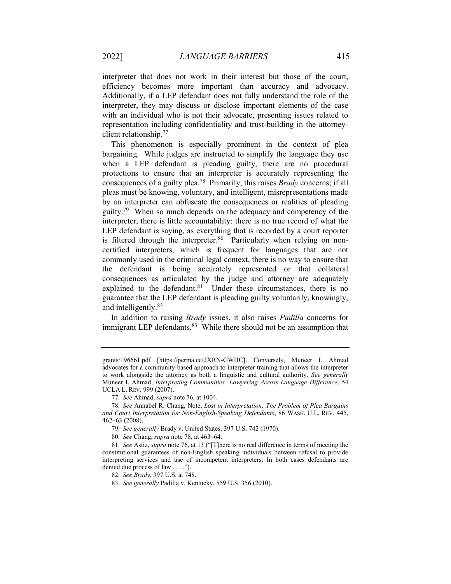interpreter that does not work in their interest but those of the court, efficiency becomes more important than accuracy and advocacy. Additionally, if a LEP defendant does not fully understand the role of the interpreter, they may discuss or disclose important elements of the case with an individual who is not their advocate, presenting issues related to representation including confidentiality and trust-building in the attorneyclient relationship.<sup>77</sup>

This phenomenon is especially prominent in the context of plea bargaining. While judges are instructed to simplify the language they use when a LEP defendant is pleading guilty, there are no procedural protections to ensure that an interpreter is accurately representing the consequences of a guilty plea.<sup>78</sup> Primarily, this raises *Brady* concerns; if all pleas must be knowing, voluntary, and intelligent, misrepresentations made by an interpreter can obfuscate the consequences or realities of pleading guilty.<sup>79</sup> When so much depends on the adequacy and competency of the interpreter, there is little accountability: there is no true record of what the LEP defendant is saying, as everything that is recorded by a court reporter is filtered through the interpreter. $80$  Particularly when relying on noncertified interpreters, which is frequent for languages that are not commonly used in the criminal legal context, there is no way to ensure that the defendant is being accurately represented or that collateral consequences as articulated by the judge and attorney are adequately explained to the defendant.<sup>81</sup> Under these circumstances, there is no guarantee that the LEP defendant is pleading guilty voluntarily, knowingly, and intelligently.<sup>82</sup>

In addition to raising Brady issues, it also raises Padilla concerns for immigrant LEP defendants.<sup>83</sup> While there should not be an assumption that

80. See Chang, supra note 78, at 463–64.

grants/196661.pdf [https://perma.cc/2XRN-GWHC]. Conversely, Muneer I. Ahmad advocates for a community-based approach to interpreter training that allows the interpreter to work alongside the attorney as both a linguistic and cultural authority. See generally Muneer I. Ahmad, Interpreting Communities: Lawyering Across Language Difference, 54 UCLA L. REV. 999 (2007).

<sup>77</sup>. See Ahmad, supra note 76, at 1004.

<sup>78</sup>. See Annabel R. Chang, Note, Lost in Interpretation: The Problem of Plea Bargains and Court Interpretation for Non-English-Speaking Defendants, 86 WASH. U.L. REV. 445, 462–63 (2008).

<sup>79</sup>. See generally Brady v. United States, 397 U.S. 742 (1970).

<sup>81</sup>. See Astiz, supra note 76, at 13 ("[T]here is no real difference in terms of meeting the constitutional guarantees of non-English speaking individuals between refusal to provide interpreting services and use of incompetent interpreters: In both cases defendants are denied due process of law . . . .").

<sup>82</sup>. See Brady, 397 U.S. at 748.

<sup>83</sup>. See generally Padilla v. Kentucky, 559 U.S. 356 (2010).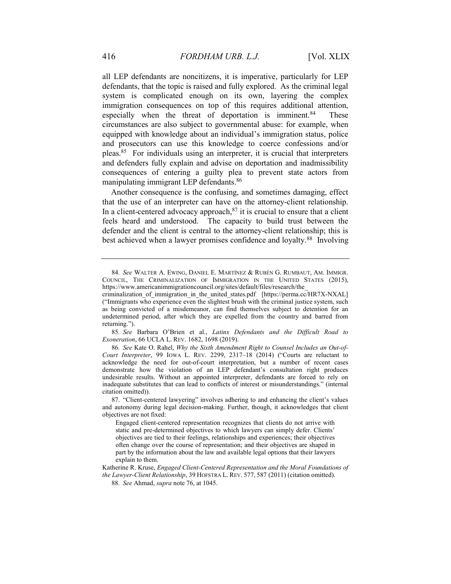all LEP defendants are noncitizens, it is imperative, particularly for LEP defendants, that the topic is raised and fully explored. As the criminal legal system is complicated enough on its own, layering the complex immigration consequences on top of this requires additional attention, especially when the threat of deportation is imminent.<sup>84</sup> These circumstances are also subject to governmental abuse: for example, when equipped with knowledge about an individual's immigration status, police and prosecutors can use this knowledge to coerce confessions and/or pleas.<sup>85</sup> For individuals using an interpreter, it is crucial that interpreters and defenders fully explain and advise on deportation and inadmissibility consequences of entering a guilty plea to prevent state actors from manipulating immigrant LEP defendants.<sup>86</sup>

Another consequence is the confusing, and sometimes damaging, effect that the use of an interpreter can have on the attorney-client relationship. In a client-centered advocacy approach, $87$  it is crucial to ensure that a client feels heard and understood. The capacity to build trust between the defender and the client is central to the attorney-client relationship; this is best achieved when a lawyer promises confidence and loyalty.<sup>88</sup> Involving

85. See Barbara O'Brien et al., Latinx Defendants and the Difficult Road to Exoneration, 66 UCLA L. REV. 1682, 1698 (2019).

86. See Kate O. Rahel, Why the Sixth Amendment Right to Counsel Includes an Out-of-Court Interpreter, 99 IOWA L. REV. 2299, 2317–18 (2014) ("Courts are reluctant to acknowledge the need for out-of-court interpretation, but a number of recent cases demonstrate how the violation of an LEP defendant's consultation right produces undesirable results. Without an appointed interpreter, defendants are forced to rely on inadequate substitutes that can lead to conflicts of interest or misunderstandings." (internal citation omitted)).

 87. "Client-centered lawyering" involves adhering to and enhancing the client's values and autonomy during legal decision-making. Further, though, it acknowledges that client objectives are not fixed:

Engaged client-centered representation recognizes that clients do not arrive with static and pre-determined objectives to which lawyers can simply defer. Clients' objectives are tied to their feelings, relationships and experiences; their objectives often change over the course of representation; and their objectives are shaped in part by the information about the law and available legal options that their lawyers explain to them.

Katherine R. Kruse, Engaged Client-Centered Representation and the Moral Foundations of the Lawyer-Client Relationship, 39 HOFSTRA L. REV. 577, 587 (2011) (citation omitted).

88. See Ahmad, supra note 76, at 1045.

<sup>84</sup>. See WALTER A. EWING, DANIEL E. MARTÍNEZ & RUBÉN G. RUMBAUT, AM. IMMIGR. COUNCIL, THE CRIMINALIZATION OF IMMIGRATION IN THE UNITED STATES (2015), https://www.americanimmigrationcouncil.org/sites/default/files/research/the\_

criminalization of immigration in the united states.pdf [https://perma.cc/HR7X-NXAL] ("Immigrants who experience even the slightest brush with the criminal justice system, such as being convicted of a misdemeanor, can find themselves subject to detention for an undetermined period, after which they are expelled from the country and barred from returning.").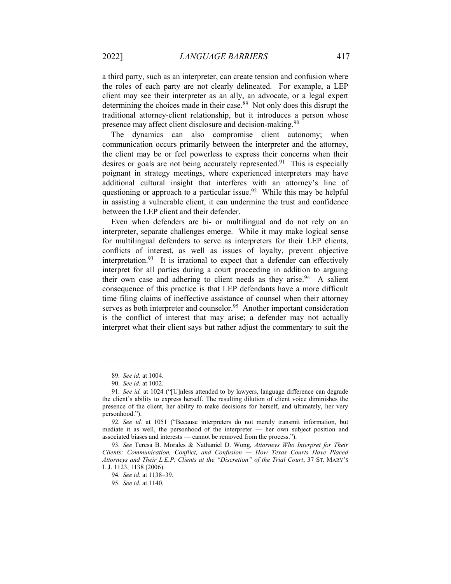a third party, such as an interpreter, can create tension and confusion where the roles of each party are not clearly delineated. For example, a LEP client may see their interpreter as an ally, an advocate, or a legal expert determining the choices made in their case.<sup>89</sup> Not only does this disrupt the traditional attorney-client relationship, but it introduces a person whose presence may affect client disclosure and decision-making.<sup>90</sup>

The dynamics can also compromise client autonomy; when communication occurs primarily between the interpreter and the attorney, the client may be or feel powerless to express their concerns when their desires or goals are not being accurately represented.<sup>91</sup> This is especially poignant in strategy meetings, where experienced interpreters may have additional cultural insight that interferes with an attorney's line of questioning or approach to a particular issue.<sup>92</sup> While this may be helpful in assisting a vulnerable client, it can undermine the trust and confidence between the LEP client and their defender.

Even when defenders are bi- or multilingual and do not rely on an interpreter, separate challenges emerge. While it may make logical sense for multilingual defenders to serve as interpreters for their LEP clients, conflicts of interest, as well as issues of loyalty, prevent objective interpretation.<sup>93</sup> It is irrational to expect that a defender can effectively interpret for all parties during a court proceeding in addition to arguing their own case and adhering to client needs as they arise.<sup>94</sup> A salient consequence of this practice is that LEP defendants have a more difficult time filing claims of ineffective assistance of counsel when their attorney serves as both interpreter and counselor.<sup>95</sup> Another important consideration is the conflict of interest that may arise; a defender may not actually interpret what their client says but rather adjust the commentary to suit the

<sup>89</sup>. See id. at 1004.

<sup>90</sup>. See id. at 1002.

<sup>91</sup>. See id. at 1024 ("[U]nless attended to by lawyers, language difference can degrade the client's ability to express herself. The resulting dilution of client voice diminishes the presence of the client, her ability to make decisions for herself, and ultimately, her very personhood.").

<sup>92</sup>. See id. at 1051 ("Because interpreters do not merely transmit information, but mediate it as well, the personhood of the interpreter — her own subject position and associated biases and interests — cannot be removed from the process.").

<sup>93.</sup> See Teresa B. Morales & Nathaniel D. Wong, Attorneys Who Interpret for Their Clients: Communication, Conflict, and Confusion — How Texas Courts Have Placed Attorneys and Their L.E.P. Clients at the "Discretion" of the Trial Court, 37 ST. MARY'S L.J. 1123, 1138 (2006).

<sup>94</sup>. See id. at 1138–39.

<sup>95</sup>. See id. at 1140.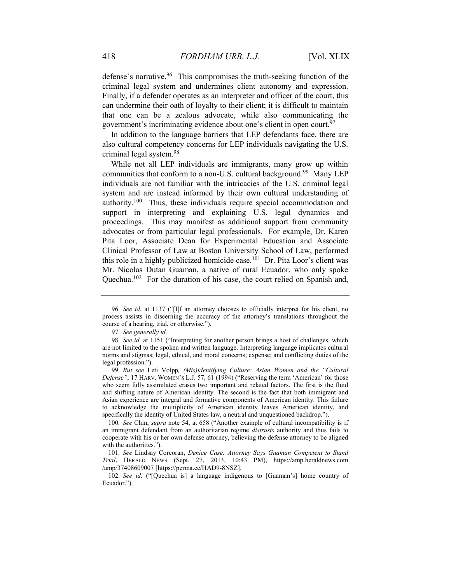defense's narrative.<sup>96</sup> This compromises the truth-seeking function of the criminal legal system and undermines client autonomy and expression. Finally, if a defender operates as an interpreter and officer of the court, this can undermine their oath of loyalty to their client; it is difficult to maintain that one can be a zealous advocate, while also communicating the government's incriminating evidence about one's client in open court.<sup>97</sup>

In addition to the language barriers that LEP defendants face, there are also cultural competency concerns for LEP individuals navigating the U.S. criminal legal system.<sup>98</sup>

While not all LEP individuals are immigrants, many grow up within communities that conform to a non-U.S. cultural background.<sup>99</sup> Many LEP individuals are not familiar with the intricacies of the U.S. criminal legal system and are instead informed by their own cultural understanding of authority.<sup>100</sup> Thus, these individuals require special accommodation and support in interpreting and explaining U.S. legal dynamics and proceedings. This may manifest as additional support from community advocates or from particular legal professionals. For example, Dr. Karen Pita Loor, Associate Dean for Experimental Education and Associate Clinical Professor of Law at Boston University School of Law, performed this role in a highly publicized homicide case.<sup>101</sup> Dr. Pita Loor's client was Mr. Nicolas Dutan Guaman, a native of rural Ecuador, who only spoke Quechua.<sup>102</sup> For the duration of his case, the court relied on Spanish and,

<sup>96</sup>. See id. at 1137 ("[I]f an attorney chooses to officially interpret for his client, no process assists in discerning the accuracy of the attorney's translations throughout the course of a hearing, trial, or otherwise.").

<sup>97</sup>. See generally id.

<sup>98</sup>. See id. at 1151 ("Interpreting for another person brings a host of challenges, which are not limited to the spoken and written language. Interpreting language implicates cultural norms and stigmas; legal, ethical, and moral concerns; expense; and conflicting duties of the legal profession.").

<sup>99</sup>. But see Leti Volpp, (Mis)identifying Culture: Asian Women and the "Cultural Defense", 17 HARV. WOMEN'S L.J. 57, 61 (1994) ("Reserving the term 'American' for those who seem fully assimilated erases two important and related factors. The first is the fluid and shifting nature of American identity. The second is the fact that both immigrant and Asian experience are integral and formative components of American identity. This failure to acknowledge the multiplicity of American identity leaves American identity, and specifically the identity of United States law, a neutral and unquestioned backdrop.").

<sup>100.</sup> See Chin, *supra* note 54, at 658 ("Another example of cultural incompatibility is if an immigrant defendant from an authoritarian regime *distrusts* authority and thus fails to cooperate with his or her own defense attorney, believing the defense attorney to be aligned with the authorities.").

<sup>101</sup>. See Lindsay Corcoran, Denice Case: Attorney Says Guaman Competent to Stand Trial, HERALD NEWS (Sept. 27, 2013, 10:43 PM), https://amp.heraldnews.com /amp/37408609007 [https://perma.cc/HAD9-8NSZ].

<sup>102</sup>. See id. ("[Quechua is] a language indigenous to [Guaman's] home country of Ecuador.").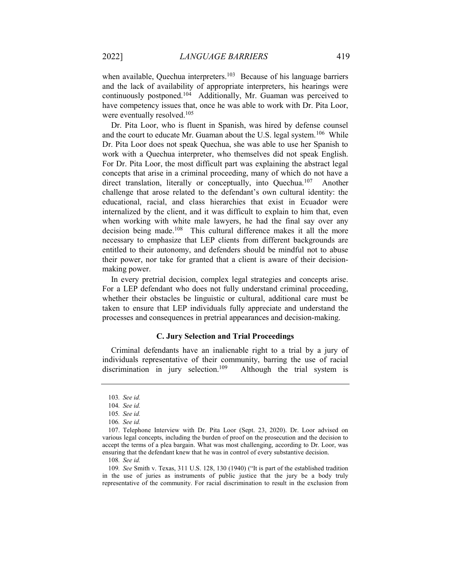when available, Quechua interpreters.<sup>103</sup> Because of his language barriers and the lack of availability of appropriate interpreters, his hearings were continuously postponed.<sup>104</sup> Additionally, Mr. Guaman was perceived to have competency issues that, once he was able to work with Dr. Pita Loor, were eventually resolved.<sup>105</sup>

Dr. Pita Loor, who is fluent in Spanish, was hired by defense counsel and the court to educate Mr. Guaman about the U.S. legal system.<sup>106</sup> While Dr. Pita Loor does not speak Quechua, she was able to use her Spanish to work with a Quechua interpreter, who themselves did not speak English. For Dr. Pita Loor, the most difficult part was explaining the abstract legal concepts that arise in a criminal proceeding, many of which do not have a direct translation, literally or conceptually, into Quechua.<sup>107</sup> Another challenge that arose related to the defendant's own cultural identity: the educational, racial, and class hierarchies that exist in Ecuador were internalized by the client, and it was difficult to explain to him that, even when working with white male lawyers, he had the final say over any decision being made.<sup>108</sup> This cultural difference makes it all the more necessary to emphasize that LEP clients from different backgrounds are entitled to their autonomy, and defenders should be mindful not to abuse their power, nor take for granted that a client is aware of their decisionmaking power.

In every pretrial decision, complex legal strategies and concepts arise. For a LEP defendant who does not fully understand criminal proceeding, whether their obstacles be linguistic or cultural, additional care must be taken to ensure that LEP individuals fully appreciate and understand the processes and consequences in pretrial appearances and decision-making.

#### C. Jury Selection and Trial Proceedings

Criminal defendants have an inalienable right to a trial by a jury of individuals representative of their community, barring the use of racial discrimination in jury selection.<sup>109</sup> Although the trial system is

<sup>103</sup>. See id.

<sup>104</sup>. See id.

<sup>105</sup>. See id.

<sup>106</sup>. See id.

 <sup>107.</sup> Telephone Interview with Dr. Pita Loor (Sept. 23, 2020). Dr. Loor advised on various legal concepts, including the burden of proof on the prosecution and the decision to accept the terms of a plea bargain. What was most challenging, according to Dr. Loor, was ensuring that the defendant knew that he was in control of every substantive decision.

<sup>108</sup>. See id.

<sup>109</sup>. See Smith v. Texas, 311 U.S. 128, 130 (1940) ("It is part of the established tradition in the use of juries as instruments of public justice that the jury be a body truly representative of the community. For racial discrimination to result in the exclusion from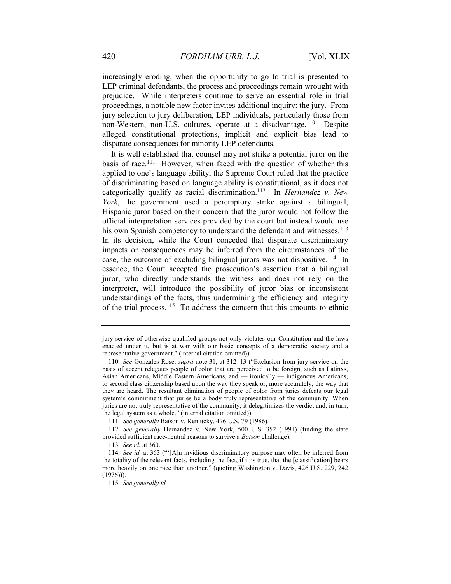increasingly eroding, when the opportunity to go to trial is presented to LEP criminal defendants, the process and proceedings remain wrought with prejudice. While interpreters continue to serve an essential role in trial proceedings, a notable new factor invites additional inquiry: the jury. From jury selection to jury deliberation, LEP individuals, particularly those from non-Western, non-U.S. cultures, operate at a disadvantage.<sup>110</sup> Despite alleged constitutional protections, implicit and explicit bias lead to disparate consequences for minority LEP defendants.

It is well established that counsel may not strike a potential juror on the basis of race.<sup>111</sup> However, when faced with the question of whether this applied to one's language ability, the Supreme Court ruled that the practice of discriminating based on language ability is constitutional, as it does not categorically qualify as racial discrimination.<sup>112</sup> In *Hernandez v. New* York, the government used a peremptory strike against a bilingual, Hispanic juror based on their concern that the juror would not follow the official interpretation services provided by the court but instead would use his own Spanish competency to understand the defendant and witnesses.<sup>113</sup> In its decision, while the Court conceded that disparate discriminatory impacts or consequences may be inferred from the circumstances of the case, the outcome of excluding bilingual jurors was not dispositive.<sup>114</sup> In essence, the Court accepted the prosecution's assertion that a bilingual juror, who directly understands the witness and does not rely on the interpreter, will introduce the possibility of juror bias or inconsistent understandings of the facts, thus undermining the efficiency and integrity of the trial process.<sup>115</sup> To address the concern that this amounts to ethnic

111. See generally Batson v. Kentucky, 476 U.S. 79 (1986).

jury service of otherwise qualified groups not only violates our Constitution and the laws enacted under it, but is at war with our basic concepts of a democratic society and a representative government." (internal citation omitted)).

<sup>110</sup>. See Gonzales Rose, supra note 31, at 312–13 ("Exclusion from jury service on the basis of accent relegates people of color that are perceived to be foreign, such as Latinxs, Asian Americans, Middle Eastern Americans, and — ironically — indigenous Americans, to second class citizenship based upon the way they speak or, more accurately, the way that they are heard. The resultant elimination of people of color from juries defeats our legal system's commitment that juries be a body truly representative of the community. When juries are not truly representative of the community, it delegitimizes the verdict and, in turn, the legal system as a whole." (internal citation omitted)).

<sup>112</sup>. See generally Hernandez v. New York, 500 U.S. 352 (1991) (finding the state provided sufficient race-neutral reasons to survive a Batson challenge).

<sup>113</sup>. See id. at 360.

<sup>114</sup>. See id. at 363 ("'[A]n invidious discriminatory purpose may often be inferred from the totality of the relevant facts, including the fact, if it is true, that the [classification] bears more heavily on one race than another." (quoting Washington v. Davis, 426 U.S. 229, 242  $(1976)$ ).

<sup>115</sup>. See generally id.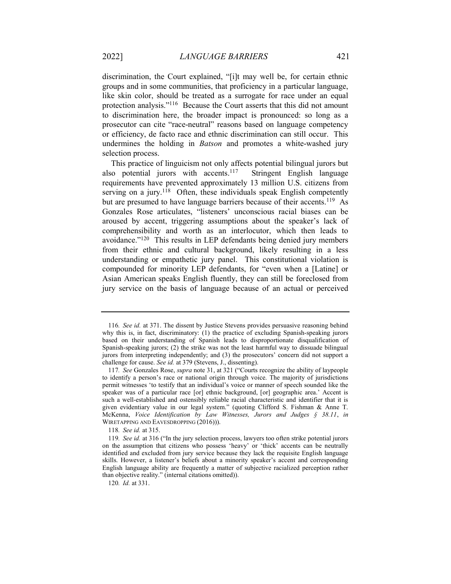discrimination, the Court explained, "[i]t may well be, for certain ethnic groups and in some communities, that proficiency in a particular language, like skin color, should be treated as a surrogate for race under an equal protection analysis."<sup>116</sup> Because the Court asserts that this did not amount to discrimination here, the broader impact is pronounced: so long as a prosecutor can cite "race-neutral" reasons based on language competency or efficiency, de facto race and ethnic discrimination can still occur. This undermines the holding in Batson and promotes a white-washed jury selection process.

This practice of linguicism not only affects potential bilingual jurors but also potential jurors with accents.<sup>117</sup> Stringent English language requirements have prevented approximately 13 million U.S. citizens from serving on a jury.<sup>118</sup> Often, these individuals speak English competently but are presumed to have language barriers because of their accents.<sup>119</sup> As Gonzales Rose articulates, "listeners' unconscious racial biases can be aroused by accent, triggering assumptions about the speaker's lack of comprehensibility and worth as an interlocutor, which then leads to avoidance."<sup>120</sup> This results in LEP defendants being denied jury members from their ethnic and cultural background, likely resulting in a less understanding or empathetic jury panel. This constitutional violation is compounded for minority LEP defendants, for "even when a [Latine] or Asian American speaks English fluently, they can still be foreclosed from jury service on the basis of language because of an actual or perceived

118. See id. at 315.

<sup>116.</sup> See id. at 371. The dissent by Justice Stevens provides persuasive reasoning behind why this is, in fact, discriminatory: (1) the practice of excluding Spanish-speaking jurors based on their understanding of Spanish leads to disproportionate disqualification of Spanish-speaking jurors; (2) the strike was not the least harmful way to dissuade bilingual jurors from interpreting independently; and (3) the prosecutors' concern did not support a challenge for cause. See id. at 379 (Stevens, J., dissenting).

<sup>117</sup>. See Gonzales Rose, supra note 31, at 321 ("Courts recognize the ability of laypeople to identify a person's race or national origin through voice. The majority of jurisdictions permit witnesses 'to testify that an individual's voice or manner of speech sounded like the speaker was of a particular race [or] ethnic background, [or] geographic area.' Accent is such a well-established and ostensibly reliable racial characteristic and identifier that it is given evidentiary value in our legal system." (quoting Clifford S. Fishman & Anne T. McKenna, Voice Identification by Law Witnesses, Jurors and Judges § 38.11, in WIRETAPPING AND EAVESDROPPING (2016))).

<sup>119</sup>. See id. at 316 ("In the jury selection process, lawyers too often strike potential jurors on the assumption that citizens who possess 'heavy' or 'thick' accents can be neutrally identified and excluded from jury service because they lack the requisite English language skills. However, a listener's beliefs about a minority speaker's accent and corresponding English language ability are frequently a matter of subjective racialized perception rather than objective reality." (internal citations omitted)).

<sup>120</sup>. Id. at 331.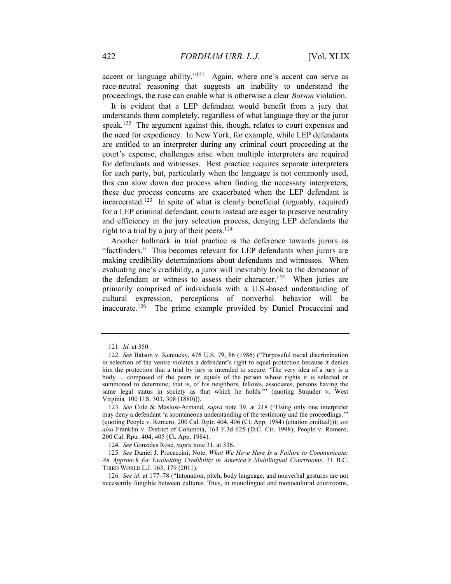accent or language ability."<sup>121</sup> Again, where one's accent can serve as race-neutral reasoning that suggests an inability to understand the proceedings, the ruse can enable what is otherwise a clear *Batson* violation.

It is evident that a LEP defendant would benefit from a jury that understands them completely, regardless of what language they or the juror speak.<sup>122</sup> The argument against this, though, relates to court expenses and the need for expediency. In New York, for example, while LEP defendants are entitled to an interpreter during any criminal court proceeding at the court's expense, challenges arise when multiple interpreters are required for defendants and witnesses. Best practice requires separate interpreters for each party, but, particularly when the language is not commonly used, this can slow down due process when finding the necessary interpreters; these due process concerns are exacerbated when the LEP defendant is incarcerated.<sup>123</sup> In spite of what is clearly beneficial (arguably, required) for a LEP criminal defendant, courts instead are eager to preserve neutrality and efficiency in the jury selection process, denying LEP defendants the right to a trial by a jury of their peers.<sup>124</sup>

Another hallmark in trial practice is the deference towards jurors as "factfinders." This becomes relevant for LEP defendants when jurors are making credibility determinations about defendants and witnesses. When evaluating one's credibility, a juror will inevitably look to the demeanor of the defendant or witness to assess their character.<sup>125</sup> When juries are primarily comprised of individuals with a U.S.-based understanding of cultural expression, perceptions of nonverbal behavior will be inaccurate.<sup>126</sup> The prime example provided by Daniel Procaccini and

124. See Gonzales Rose, supra note 31, at 336.

125. See Daniel J. Procaccini, Note, What We Have Here Is a Failure to Communicate: An Approach for Evaluating Credibility in America's Multilingual Courtrooms, 31 B.C. THIRD WORLD L.J. 163, 179 (2011).

126. See id. at 177–78 ("Intonation, pitch, body language, and nonverbal gestures are not necessarily fungible between cultures. Thus, in monolingual and monocultural courtrooms,

<sup>121</sup>. Id. at 350.

<sup>122</sup>. See Batson v. Kentucky, 476 U.S. 79, 86 (1986) ("Purposeful racial discrimination in selection of the venire violates a defendant's right to equal protection because it denies him the protection that a trial by jury is intended to secure. 'The very idea of a jury is a body . . . composed of the peers or equals of the person whose rights it is selected or summoned to determine; that is, of his neighbors, fellows, associates, persons having the same legal status in society as that which he holds.'" (quoting Strauder v. West Virginia, 100 U.S. 303, 308 (1880))).

<sup>123</sup>. See Cole & Maslow-Armand, supra note 39, at 218 ("Using only one interpreter may deny a defendant 'a spontaneous understanding of the testimony and the proceedings.'" (quoting People v. Romero, 200 Cal. Rptr. 404, 406 (Ct. App. 1984) (citation omitted))); see also Franklin v. District of Columbia, 163 F.3d 625 (D.C. Cir. 1998); People v. Romero, 200 Cal. Rptr. 404, 405 (Ct. App. 1984).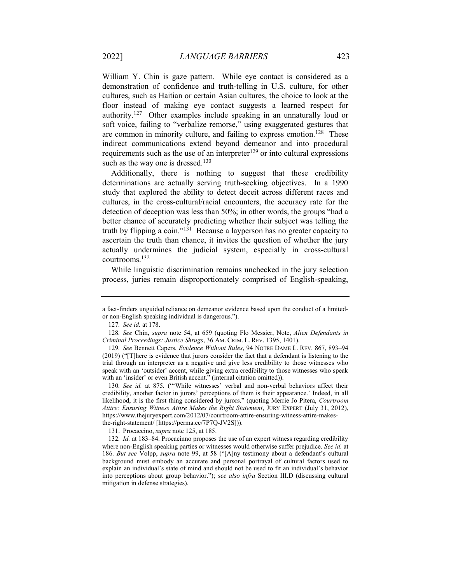William Y. Chin is gaze pattern. While eye contact is considered as a demonstration of confidence and truth-telling in U.S. culture, for other cultures, such as Haitian or certain Asian cultures, the choice to look at the floor instead of making eye contact suggests a learned respect for authority.<sup>127</sup> Other examples include speaking in an unnaturally loud or soft voice, failing to "verbalize remorse," using exaggerated gestures that are common in minority culture, and failing to express emotion.<sup>128</sup> These indirect communications extend beyond demeanor and into procedural requirements such as the use of an interpreter $129$  or into cultural expressions such as the way one is dressed.<sup>130</sup>

Additionally, there is nothing to suggest that these credibility determinations are actually serving truth-seeking objectives. In a 1990 study that explored the ability to detect deceit across different races and cultures, in the cross-cultural/racial encounters, the accuracy rate for the detection of deception was less than 50%; in other words, the groups "had a better chance of accurately predicting whether their subject was telling the truth by flipping a coin."<sup>131</sup> Because a layperson has no greater capacity to ascertain the truth than chance, it invites the question of whether the jury actually undermines the judicial system, especially in cross-cultural courtrooms.<sup>132</sup>

While linguistic discrimination remains unchecked in the jury selection process, juries remain disproportionately comprised of English-speaking,

130. See id. at 875. ("'While witnesses' verbal and non-verbal behaviors affect their credibility, another factor in jurors' perceptions of them is their appearance.' Indeed, in all likelihood, it is the first thing considered by jurors." (quoting Merrie Jo Pitera, Courtroom Attire: Ensuring Witness Attire Makes the Right Statement, JURY EXPERT (July 31, 2012), https://www.thejuryexpert.com/2012/07/courtroom-attire-ensuring-witness-attire-makesthe-right-statement/ [https://perma.cc/7P7Q-JV2S])).

131. Procaccino, supra note 125, at 185.

132. Id. at 183–84. Procacinno proposes the use of an expert witness regarding credibility where non-English speaking parties or witnesses would otherwise suffer prejudice. See id. at 186. But see Volpp, supra note 99, at 58 ("[A]ny testimony about a defendant's cultural background must embody an accurate and personal portrayal of cultural factors used to explain an individual's state of mind and should not be used to fit an individual's behavior into perceptions about group behavior."); see also infra Section III.D (discussing cultural mitigation in defense strategies).

a fact-finders unguided reliance on demeanor evidence based upon the conduct of a limitedor non-English speaking individual is dangerous.").

<sup>127</sup>. See id. at 178.

<sup>128</sup>. See Chin, supra note 54, at 659 (quoting Flo Messier, Note, Alien Defendants in Criminal Proceedings: Justice Shrugs, 36 AM. CRIM. L. REV. 1395, 1401).

<sup>129</sup>. See Bennett Capers, Evidence Without Rules, 94 NOTRE DAME L. REV. 867, 893–94 (2019) ("[T]here is evidence that jurors consider the fact that a defendant is listening to the trial through an interpreter as a negative and give less credibility to those witnesses who speak with an 'outsider' accent, while giving extra credibility to those witnesses who speak with an 'insider' or even British accent." (internal citation omitted)).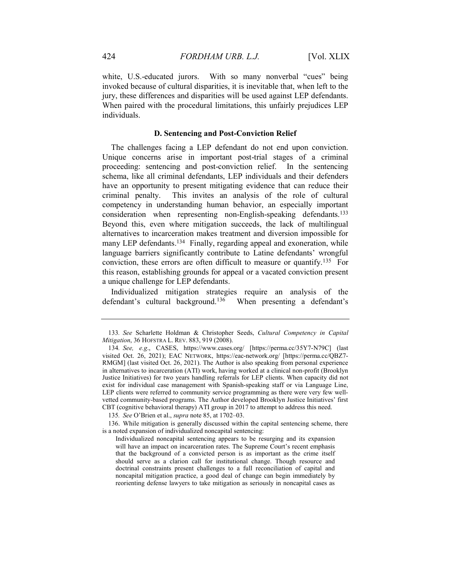white, U.S.-educated jurors. With so many nonverbal "cues" being invoked because of cultural disparities, it is inevitable that, when left to the jury, these differences and disparities will be used against LEP defendants. When paired with the procedural limitations, this unfairly prejudices LEP individuals.

#### D. Sentencing and Post-Conviction Relief

The challenges facing a LEP defendant do not end upon conviction. Unique concerns arise in important post-trial stages of a criminal proceeding: sentencing and post-conviction relief. In the sentencing schema, like all criminal defendants, LEP individuals and their defenders have an opportunity to present mitigating evidence that can reduce their criminal penalty. This invites an analysis of the role of cultural competency in understanding human behavior, an especially important consideration when representing non-English-speaking defendants.<sup>133</sup> Beyond this, even where mitigation succeeds, the lack of multilingual alternatives to incarceration makes treatment and diversion impossible for many LEP defendants.<sup>134</sup> Finally, regarding appeal and exoneration, while language barriers significantly contribute to Latine defendants' wrongful conviction, these errors are often difficult to measure or quantify.<sup>135</sup> For this reason, establishing grounds for appeal or a vacated conviction present a unique challenge for LEP defendants.

Individualized mitigation strategies require an analysis of the defendant's cultural background.<sup>136</sup> When presenting a defendant's

<sup>133</sup>. See Scharlette Holdman & Christopher Seeds, Cultural Competency in Capital Mitigation, 36 HOFSTRA L. REV. 883, 919 (2008).

<sup>134</sup>. See, e.g., CASES, https://www.cases.org/ [https://perma.cc/35Y7-N79C] (last visited Oct. 26, 2021); EAC NETWORK, https://eac-network.org/ [https://perma.cc/QBZ7- RMGM] (last visited Oct. 26, 2021). The Author is also speaking from personal experience in alternatives to incarceration (ATI) work, having worked at a clinical non-profit (Brooklyn Justice Initiatives) for two years handling referrals for LEP clients. When capacity did not exist for individual case management with Spanish-speaking staff or via Language Line, LEP clients were referred to community service programming as there were very few wellvetted community-based programs. The Author developed Brooklyn Justice Initiatives' first CBT (cognitive behavioral therapy) ATI group in 2017 to attempt to address this need.

<sup>135</sup>. See O'Brien et al., supra note 85, at 1702–03.

 <sup>136.</sup> While mitigation is generally discussed within the capital sentencing scheme, there is a noted expansion of individualized noncapital sentencing:

Individualized noncapital sentencing appears to be resurging and its expansion will have an impact on incarceration rates. The Supreme Court's recent emphasis that the background of a convicted person is as important as the crime itself should serve as a clarion call for institutional change. Though resource and doctrinal constraints present challenges to a full reconciliation of capital and noncapital mitigation practice, a good deal of change can begin immediately by reorienting defense lawyers to take mitigation as seriously in noncapital cases as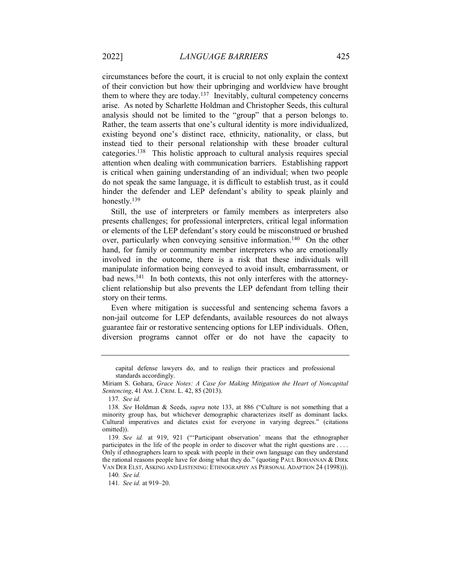circumstances before the court, it is crucial to not only explain the context of their conviction but how their upbringing and worldview have brought them to where they are today.<sup>137</sup> Inevitably, cultural competency concerns arise. As noted by Scharlette Holdman and Christopher Seeds, this cultural analysis should not be limited to the "group" that a person belongs to. Rather, the team asserts that one's cultural identity is more individualized, existing beyond one's distinct race, ethnicity, nationality, or class, but instead tied to their personal relationship with these broader cultural categories.<sup>138</sup> This holistic approach to cultural analysis requires special attention when dealing with communication barriers. Establishing rapport is critical when gaining understanding of an individual; when two people do not speak the same language, it is difficult to establish trust, as it could hinder the defender and LEP defendant's ability to speak plainly and honestly.<sup>139</sup>

Still, the use of interpreters or family members as interpreters also presents challenges; for professional interpreters, critical legal information or elements of the LEP defendant's story could be misconstrued or brushed over, particularly when conveying sensitive information.<sup>140</sup> On the other hand, for family or community member interpreters who are emotionally involved in the outcome, there is a risk that these individuals will manipulate information being conveyed to avoid insult, embarrassment, or bad news.141 In both contexts, this not only interferes with the attorneyclient relationship but also prevents the LEP defendant from telling their story on their terms.

Even where mitigation is successful and sentencing schema favors a non-jail outcome for LEP defendants, available resources do not always guarantee fair or restorative sentencing options for LEP individuals. Often, diversion programs cannot offer or do not have the capacity to

capital defense lawyers do, and to realign their practices and professional standards accordingly.

Miriam S. Gohara, Grace Notes: A Case for Making Mitigation the Heart of Noncapital Sentencing, 41 AM. J. CRIM. L. 42, 85 (2013).

<sup>137</sup>. See id.

<sup>138</sup>. See Holdman & Seeds, supra note 133, at 886 ("Culture is not something that a minority group has, but whichever demographic characterizes itself as dominant lacks. Cultural imperatives and dictates exist for everyone in varying degrees." (citations omitted)).

<sup>139</sup>. See id. at 919, 921 ("'Participant observation' means that the ethnographer participates in the life of the people in order to discover what the right questions are . . . . Only if ethnographers learn to speak with people in their own language can they understand the rational reasons people have for doing what they do." (quoting PAUL BOHANNAN & DIRK VAN DER ELST, ASKING AND LISTENING: ETHNOGRAPHY AS PERSONAL ADAPTION 24 (1998))).

<sup>140</sup>. See id.

<sup>141</sup>. See id. at 919–20.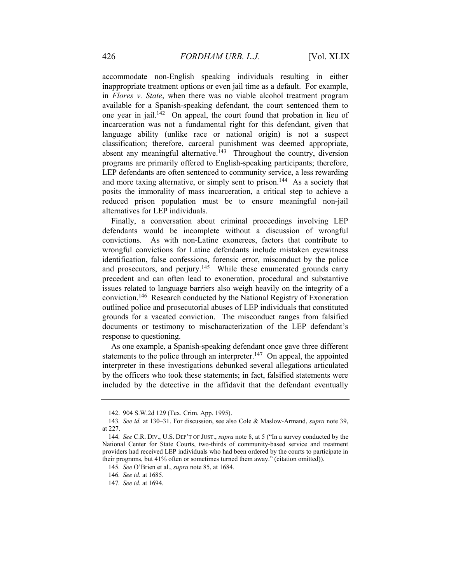accommodate non-English speaking individuals resulting in either inappropriate treatment options or even jail time as a default. For example, in Flores v. State, when there was no viable alcohol treatment program available for a Spanish-speaking defendant, the court sentenced them to one year in jail.<sup>142</sup> On appeal, the court found that probation in lieu of incarceration was not a fundamental right for this defendant, given that language ability (unlike race or national origin) is not a suspect classification; therefore, carceral punishment was deemed appropriate, absent any meaningful alternative.<sup>143</sup> Throughout the country, diversion programs are primarily offered to English-speaking participants; therefore, LEP defendants are often sentenced to community service, a less rewarding and more taxing alternative, or simply sent to prison.<sup>144</sup> As a society that posits the immorality of mass incarceration, a critical step to achieve a reduced prison population must be to ensure meaningful non-jail alternatives for LEP individuals.

Finally, a conversation about criminal proceedings involving LEP defendants would be incomplete without a discussion of wrongful convictions. As with non-Latine exonerees, factors that contribute to wrongful convictions for Latine defendants include mistaken eyewitness identification, false confessions, forensic error, misconduct by the police and prosecutors, and perjury.<sup>145</sup> While these enumerated grounds carry precedent and can often lead to exoneration, procedural and substantive issues related to language barriers also weigh heavily on the integrity of a conviction.<sup>146</sup> Research conducted by the National Registry of Exoneration outlined police and prosecutorial abuses of LEP individuals that constituted grounds for a vacated conviction. The misconduct ranges from falsified documents or testimony to mischaracterization of the LEP defendant's response to questioning.

As one example, a Spanish-speaking defendant once gave three different statements to the police through an interpreter.<sup>147</sup> On appeal, the appointed interpreter in these investigations debunked several allegations articulated by the officers who took these statements; in fact, falsified statements were included by the detective in the affidavit that the defendant eventually

 <sup>142. 904</sup> S.W.2d 129 (Tex. Crim. App. 1995).

<sup>143</sup>. See id. at 130–31. For discussion, see also Cole & Maslow-Armand, supra note 39, at 227.

<sup>144</sup>. See C.R. DIV., U.S. DEP'T OF JUST., supra note 8, at 5 ("In a survey conducted by the National Center for State Courts, two-thirds of community-based service and treatment providers had received LEP individuals who had been ordered by the courts to participate in their programs, but 41% often or sometimes turned them away." (citation omitted)).

<sup>145</sup>. See O'Brien et al., supra note 85, at 1684.

<sup>146</sup>. See id. at 1685.

<sup>147</sup>. See id. at 1694.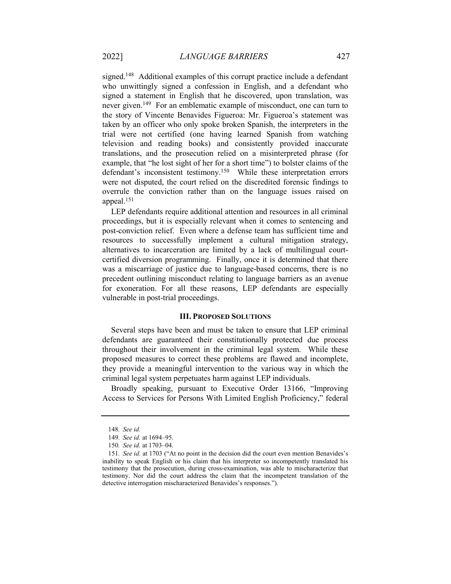signed.<sup>148</sup> Additional examples of this corrupt practice include a defendant who unwittingly signed a confession in English, and a defendant who signed a statement in English that he discovered, upon translation, was never given.<sup>149</sup> For an emblematic example of misconduct, one can turn to the story of Vincente Benavides Figueroa: Mr. Figueroa's statement was taken by an officer who only spoke broken Spanish, the interpreters in the trial were not certified (one having learned Spanish from watching television and reading books) and consistently provided inaccurate translations, and the prosecution relied on a misinterpreted phrase (for example, that "he lost sight of her for a short time") to bolster claims of the defendant's inconsistent testimony.<sup>150</sup> While these interpretation errors were not disputed, the court relied on the discredited forensic findings to overrule the conviction rather than on the language issues raised on appeal.<sup>151</sup>

LEP defendants require additional attention and resources in all criminal proceedings, but it is especially relevant when it comes to sentencing and post-conviction relief. Even where a defense team has sufficient time and resources to successfully implement a cultural mitigation strategy, alternatives to incarceration are limited by a lack of multilingual courtcertified diversion programming. Finally, once it is determined that there was a miscarriage of justice due to language-based concerns, there is no precedent outlining misconduct relating to language barriers as an avenue for exoneration. For all these reasons, LEP defendants are especially vulnerable in post-trial proceedings.

#### III. PROPOSED SOLUTIONS

Several steps have been and must be taken to ensure that LEP criminal defendants are guaranteed their constitutionally protected due process throughout their involvement in the criminal legal system. While these proposed measures to correct these problems are flawed and incomplete, they provide a meaningful intervention to the various way in which the criminal legal system perpetuates harm against LEP individuals.

Broadly speaking, pursuant to Executive Order 13166, "Improving Access to Services for Persons With Limited English Proficiency," federal

<sup>148</sup>. See id.

<sup>149</sup>. See id. at 1694–95.

<sup>150</sup>. See id. at 1703–04.

<sup>151</sup>. See id. at 1703 ("At no point in the decision did the court even mention Benavides's inability to speak English or his claim that his interpreter so incompetently translated his testimony that the prosecution, during cross-examination, was able to mischaracterize that testimony. Nor did the court address the claim that the incompetent translation of the detective interrogation mischaracterized Benavides's responses.").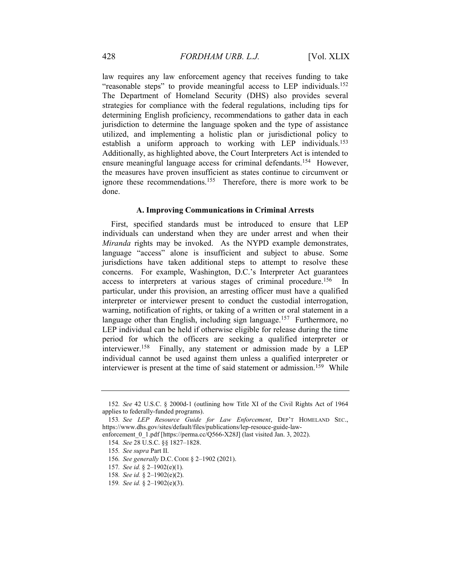law requires any law enforcement agency that receives funding to take "reasonable steps" to provide meaningful access to LEP individuals.<sup>152</sup> The Department of Homeland Security (DHS) also provides several strategies for compliance with the federal regulations, including tips for determining English proficiency, recommendations to gather data in each jurisdiction to determine the language spoken and the type of assistance utilized, and implementing a holistic plan or jurisdictional policy to establish a uniform approach to working with LEP individuals.<sup>153</sup> Additionally, as highlighted above, the Court Interpreters Act is intended to ensure meaningful language access for criminal defendants.<sup>154</sup> However, the measures have proven insufficient as states continue to circumvent or ignore these recommendations.<sup>155</sup> Therefore, there is more work to be done.

#### A. Improving Communications in Criminal Arrests

First, specified standards must be introduced to ensure that LEP individuals can understand when they are under arrest and when their Miranda rights may be invoked. As the NYPD example demonstrates, language "access" alone is insufficient and subject to abuse. Some jurisdictions have taken additional steps to attempt to resolve these concerns. For example, Washington, D.C.'s Interpreter Act guarantees access to interpreters at various stages of criminal procedure.<sup>156</sup> In particular, under this provision, an arresting officer must have a qualified interpreter or interviewer present to conduct the custodial interrogation, warning, notification of rights, or taking of a written or oral statement in a language other than English, including sign language.<sup>157</sup> Furthermore, no LEP individual can be held if otherwise eligible for release during the time period for which the officers are seeking a qualified interpreter or interviewer.<sup>158</sup> Finally, any statement or admission made by a LEP individual cannot be used against them unless a qualified interpreter or interviewer is present at the time of said statement or admission.<sup>159</sup> While

<sup>152</sup>. See 42 U.S.C. § 2000d-1 (outlining how Title XI of the Civil Rights Act of 1964 applies to federally-funded programs).

<sup>153</sup>. See LEP Resource Guide for Law Enforcement, DEP'T HOMELAND SEC., https://www.dhs.gov/sites/default/files/publications/lep-resouce-guide-law-

enforcement 0\_1.pdf [https://perma.cc/Q566-X28J] (last visited Jan. 3, 2022).

<sup>154</sup>. See 28 U.S.C. §§ 1827–1828.

<sup>155</sup>. See supra Part II.

<sup>156</sup>. See generally D.C. CODE § 2–1902 (2021).

<sup>157</sup>. See id. § 2–1902(e)(1).

<sup>158</sup>. See id. § 2–1902(e)(2).

<sup>159</sup>. See id. § 2–1902(e)(3).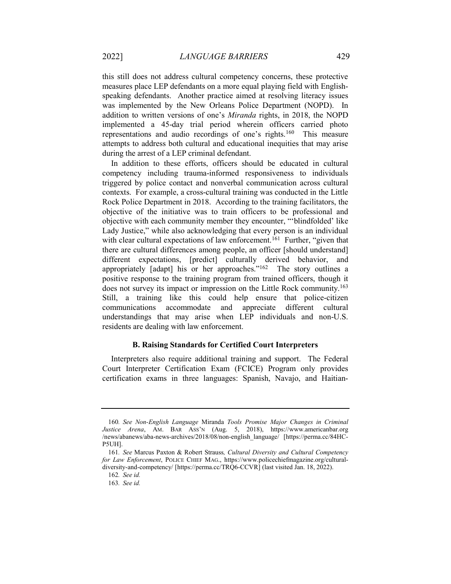this still does not address cultural competency concerns, these protective measures place LEP defendants on a more equal playing field with Englishspeaking defendants. Another practice aimed at resolving literacy issues was implemented by the New Orleans Police Department (NOPD). In addition to written versions of one's Miranda rights, in 2018, the NOPD implemented a 45-day trial period wherein officers carried photo representations and audio recordings of one's rights.<sup>160</sup> This measure attempts to address both cultural and educational inequities that may arise during the arrest of a LEP criminal defendant.

In addition to these efforts, officers should be educated in cultural competency including trauma-informed responsiveness to individuals triggered by police contact and nonverbal communication across cultural contexts. For example, a cross-cultural training was conducted in the Little Rock Police Department in 2018. According to the training facilitators, the objective of the initiative was to train officers to be professional and objective with each community member they encounter, "'blindfolded' like Lady Justice," while also acknowledging that every person is an individual with clear cultural expectations of law enforcement.<sup>161</sup> Further, "given that there are cultural differences among people, an officer [should understand] different expectations, [predict] culturally derived behavior, and appropriately [adapt] his or her approaches."<sup>162</sup> The story outlines a positive response to the training program from trained officers, though it does not survey its impact or impression on the Little Rock community.<sup>163</sup> Still, a training like this could help ensure that police-citizen communications accommodate and appreciate different cultural understandings that may arise when LEP individuals and non-U.S. residents are dealing with law enforcement.

#### B. Raising Standards for Certified Court Interpreters

Interpreters also require additional training and support. The Federal Court Interpreter Certification Exam (FCICE) Program only provides certification exams in three languages: Spanish, Navajo, and Haitian-

<sup>160</sup>. See Non-English Language Miranda Tools Promise Major Changes in Criminal Justice Arena, AM. BAR ASS'N (Aug. 5, 2018), https://www.americanbar.org /news/abanews/aba-news-archives/2018/08/non-english\_language/ [https://perma.cc/84HC-P5UH].

<sup>161</sup>. See Marcus Paxton & Robert Strauss, Cultural Diversity and Cultural Competency for Law Enforcement, POLICE CHIEF MAG., https://www.policechiefmagazine.org/culturaldiversity-and-competency/ [https://perma.cc/TRQ6-CCVR] (last visited Jan. 18, 2022).

<sup>162</sup>. See id.

<sup>163</sup>. See id.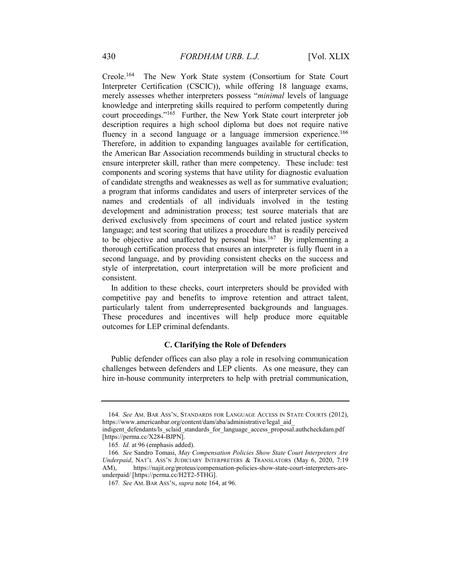Creole.<sup>164</sup> The New York State system (Consortium for State Court Interpreter Certification (CSCIC)), while offering 18 language exams, merely assesses whether interpreters possess "minimal levels of language knowledge and interpreting skills required to perform competently during court proceedings."<sup>165</sup> Further, the New York State court interpreter job description requires a high school diploma but does not require native fluency in a second language or a language immersion experience.<sup>166</sup> Therefore, in addition to expanding languages available for certification, the American Bar Association recommends building in structural checks to ensure interpreter skill, rather than mere competency. These include: test components and scoring systems that have utility for diagnostic evaluation of candidate strengths and weaknesses as well as for summative evaluation; a program that informs candidates and users of interpreter services of the names and credentials of all individuals involved in the testing development and administration process; test source materials that are derived exclusively from specimens of court and related justice system language; and test scoring that utilizes a procedure that is readily perceived to be objective and unaffected by personal bias.<sup>167</sup> By implementing a thorough certification process that ensures an interpreter is fully fluent in a second language, and by providing consistent checks on the success and style of interpretation, court interpretation will be more proficient and consistent.

In addition to these checks, court interpreters should be provided with competitive pay and benefits to improve retention and attract talent, particularly talent from underrepresented backgrounds and languages. These procedures and incentives will help produce more equitable outcomes for LEP criminal defendants.

#### C. Clarifying the Role of Defenders

Public defender offices can also play a role in resolving communication challenges between defenders and LEP clients. As one measure, they can hire in-house community interpreters to help with pretrial communication,

<sup>164</sup>. See AM. BAR ASS'N, STANDARDS FOR LANGUAGE ACCESS IN STATE COURTS (2012), https://www.americanbar.org/content/dam/aba/administrative/legal\_aid\_

indigent defendants/ls\_sclaid\_standards\_for\_language\_access\_proposal.authcheckdam.pdf [https://perma.cc/X284-BJPN].

<sup>165</sup>. Id. at 96 (emphasis added).

<sup>166</sup>. See Sandro Tomasi, May Compensation Policies Show State Court Interpreters Are Underpaid, NAT'L ASS'N JUDICIARY INTERPRETERS & TRANSLATORS (May 6, 2020, 7:19 AM), https://najit.org/proteus/compensation-policies-show-state-court-interpreters-areunderpaid/ [https://perma.cc/H2T2-5THG].

<sup>167</sup>. See AM. BAR ASS'N, supra note 164, at 96.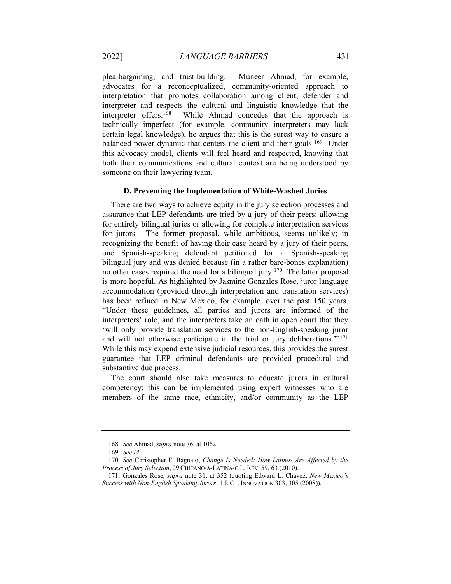plea-bargaining, and trust-building. Muneer Ahmad, for example, advocates for a reconceptualized, community-oriented approach to interpretation that promotes collaboration among client, defender and interpreter and respects the cultural and linguistic knowledge that the interpreter offers.<sup>168</sup> While Ahmad concedes that the approach is technically imperfect (for example, community interpreters may lack certain legal knowledge), he argues that this is the surest way to ensure a balanced power dynamic that centers the client and their goals.<sup>169</sup> Under this advocacy model, clients will feel heard and respected, knowing that both their communications and cultural context are being understood by someone on their lawyering team.

#### D. Preventing the Implementation of White-Washed Juries

There are two ways to achieve equity in the jury selection processes and assurance that LEP defendants are tried by a jury of their peers: allowing for entirely bilingual juries or allowing for complete interpretation services for jurors. The former proposal, while ambitious, seems unlikely; in recognizing the benefit of having their case heard by a jury of their peers, one Spanish-speaking defendant petitioned for a Spanish-speaking bilingual jury and was denied because (in a rather bare-bones explanation) no other cases required the need for a bilingual jury.<sup>170</sup> The latter proposal is more hopeful. As highlighted by Jasmine Gonzales Rose, juror language accommodation (provided through interpretation and translation services) has been refined in New Mexico, for example, over the past 150 years. "Under these guidelines, all parties and jurors are informed of the interpreters' role, and the interpreters take an oath in open court that they 'will only provide translation services to the non-English-speaking juror and will not otherwise participate in the trial or jury deliberations.'"<sup>171</sup> While this may expend extensive judicial resources, this provides the surest guarantee that LEP criminal defendants are provided procedural and substantive due process.

The court should also take measures to educate jurors in cultural competency; this can be implemented using expert witnesses who are members of the same race, ethnicity, and/or community as the LEP

<sup>168</sup>. See Ahmad, supra note 76, at 1062.

<sup>169</sup>. See id.

<sup>170</sup>. See Christopher F. Bagnato, Change Is Needed: How Latinos Are Affected by the Process of Jury Selection, 29 CHICANO/A-LATINA-O L. REV. 59, 63 (2010).

 <sup>171.</sup> Gonzales Rose, supra note 31, at 352 (quoting Edward L. Chávez, New Mexico's Success with Non-English Speaking Jurors, 1 J. CT. INNOVATION 303, 305 (2008)).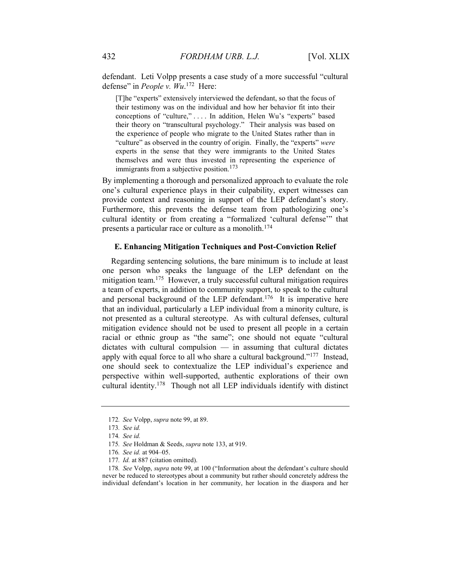defendant. Leti Volpp presents a case study of a more successful "cultural defense" in People v.  $Wu$ .<sup>172</sup> Here:

[T]he "experts" extensively interviewed the defendant, so that the focus of their testimony was on the individual and how her behavior fit into their conceptions of "culture," . . . . In addition, Helen Wu's "experts" based their theory on "transcultural psychology." Their analysis was based on the experience of people who migrate to the United States rather than in "culture" as observed in the country of origin. Finally, the "experts" were experts in the sense that they were immigrants to the United States themselves and were thus invested in representing the experience of immigrants from a subjective position.<sup>173</sup>

By implementing a thorough and personalized approach to evaluate the role one's cultural experience plays in their culpability, expert witnesses can provide context and reasoning in support of the LEP defendant's story. Furthermore, this prevents the defense team from pathologizing one's cultural identity or from creating a "formalized 'cultural defense'" that presents a particular race or culture as a monolith.<sup>174</sup>

#### E. Enhancing Mitigation Techniques and Post-Conviction Relief

Regarding sentencing solutions, the bare minimum is to include at least one person who speaks the language of the LEP defendant on the mitigation team.<sup>175</sup> However, a truly successful cultural mitigation requires a team of experts, in addition to community support, to speak to the cultural and personal background of the LEP defendant.<sup>176</sup> It is imperative here that an individual, particularly a LEP individual from a minority culture, is not presented as a cultural stereotype. As with cultural defenses, cultural mitigation evidence should not be used to present all people in a certain racial or ethnic group as "the same"; one should not equate "cultural dictates with cultural compulsion — in assuming that cultural dictates apply with equal force to all who share a cultural background."<sup>177</sup> Instead, one should seek to contextualize the LEP individual's experience and perspective within well-supported, authentic explorations of their own cultural identity.<sup>178</sup> Though not all LEP individuals identify with distinct

<sup>172</sup>. See Volpp, supra note 99, at 89.

<sup>173</sup>. See id.

<sup>174</sup>. See id.

<sup>175</sup>. See Holdman & Seeds, supra note 133, at 919.

<sup>176</sup>. See id. at 904–05.

<sup>177.</sup> Id. at 887 (citation omitted).

<sup>178</sup>. See Volpp, supra note 99, at 100 ("Information about the defendant's culture should never be reduced to stereotypes about a community but rather should concretely address the individual defendant's location in her community, her location in the diaspora and her